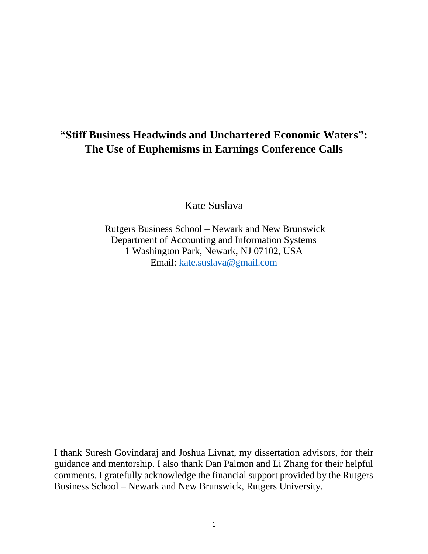# **"Stiff Business Headwinds and Unchartered Economic Waters": The Use of Euphemisms in Earnings Conference Calls**

Kate Suslava

Rutgers Business School – Newark and New Brunswick Department of Accounting and Information Systems 1 Washington Park, Newark, NJ 07102, USA Email: kate[.suslava@gmail.com](mailto:suslava@gmail.com)

I thank Suresh Govindaraj and Joshua Livnat, my dissertation advisors, for their guidance and mentorship. I also thank Dan Palmon and Li Zhang for their helpful comments. I gratefully acknowledge the financial support provided by the Rutgers Business School – Newark and New Brunswick, Rutgers University.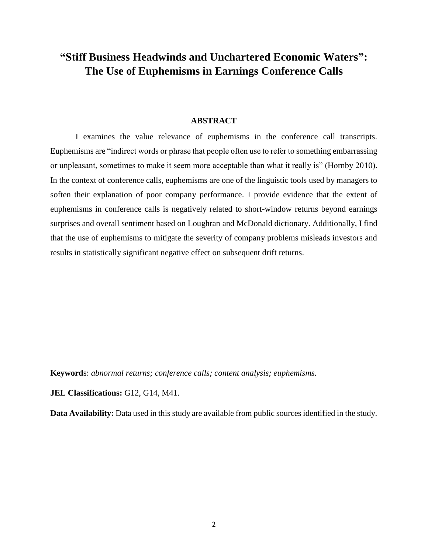# **"Stiff Business Headwinds and Unchartered Economic Waters": The Use of Euphemisms in Earnings Conference Calls**

# **ABSTRACT**

I examines the value relevance of euphemisms in the conference call transcripts. Euphemisms are "indirect words or phrase that people often use to refer to something embarrassing or unpleasant, sometimes to make it seem more acceptable than what it really is" (Hornby 2010). In the context of conference calls, euphemisms are one of the linguistic tools used by managers to soften their explanation of poor company performance. I provide evidence that the extent of euphemisms in conference calls is negatively related to short-window returns beyond earnings surprises and overall sentiment based on Loughran and McDonald dictionary. Additionally, I find that the use of euphemisms to mitigate the severity of company problems misleads investors and results in statistically significant negative effect on subsequent drift returns.

**Keyword**s: *abnormal returns; conference calls; content analysis; euphemisms.*

**JEL Classifications:** G12, G14, M41.

**Data Availability:** Data used in this study are available from public sources identified in the study.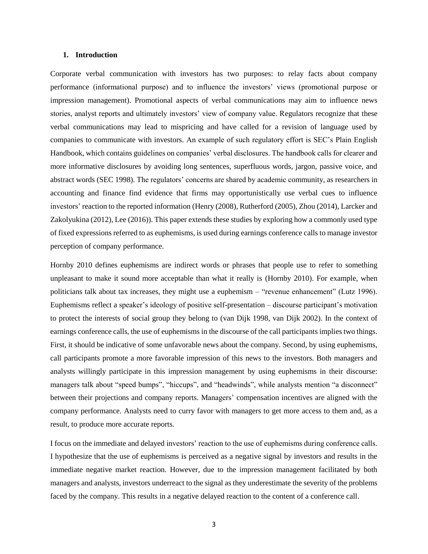# **1. Introduction**

Corporate verbal communication with investors has two purposes: to relay facts about company performance (informational purpose) and to influence the investors' views (promotional purpose or impression management). Promotional aspects of verbal communications may aim to influence news stories, analyst reports and ultimately investors' view of company value. Regulators recognize that these verbal communications may lead to mispricing and have called for a revision of language used by companies to communicate with investors. An example of such regulatory effort is SEC's Plain English Handbook, which contains guidelines on companies' verbal disclosures. The handbook calls for clearer and more informative disclosures by avoiding long sentences, superfluous words, jargon, passive voice, and abstract words (SEC 1998). The regulators' concerns are shared by academic community, as researchers in accounting and finance find evidence that firms may opportunistically use verbal cues to influence investors' reaction to the reported information (Henry (2008), Rutherford (2005), Zhou (2014), Larcker and Zakolyukina (2012), Lee (2016)). This paper extends these studies by exploring how a commonly used type of fixed expressions referred to as euphemisms, is used during earnings conference calls to manage investor perception of company performance.

Hornby 2010 defines euphemisms are indirect words or phrases that people use to refer to something unpleasant to make it sound more acceptable than what it really is (Hornby 2010). For example, when politicians talk about tax increases, they might use a euphemism – "revenue enhancement" (Lutz 1996). Euphemisms reflect a speaker's ideology of positive self-presentation – discourse participant's motivation to protect the interests of social group they belong to (van Dijk 1998, van Dijk 2002). In the context of earnings conference calls, the use of euphemisms in the discourse of the call participants implies two things. First, it should be indicative of some unfavorable news about the company. Second, by using euphemisms, call participants promote a more favorable impression of this news to the investors. Both managers and analysts willingly participate in this impression management by using euphemisms in their discourse: managers talk about "speed bumps", "hiccups", and "headwinds", while analysts mention "a disconnect" between their projections and company reports. Managers' compensation incentives are aligned with the company performance. Analysts need to curry favor with managers to get more access to them and, as a result, to produce more accurate reports.

I focus on the immediate and delayed investors' reaction to the use of euphemisms during conference calls. I hypothesize that the use of euphemisms is perceived as a negative signal by investors and results in the immediate negative market reaction. However, due to the impression management facilitated by both managers and analysts, investors underreact to the signal as they underestimate the severity of the problems faced by the company. This results in a negative delayed reaction to the content of a conference call.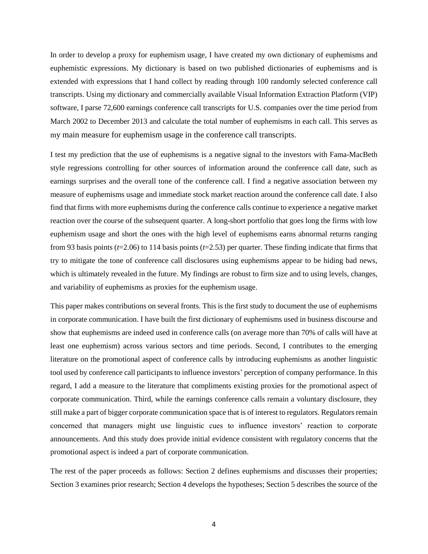In order to develop a proxy for euphemism usage, I have created my own dictionary of euphemisms and euphemistic expressions. My dictionary is based on two published dictionaries of euphemisms and is extended with expressions that I hand collect by reading through 100 randomly selected conference call transcripts. Using my dictionary and commercially available Visual Information Extraction Platform (VIP) software, I parse 72,600 earnings conference call transcripts for U.S. companies over the time period from March 2002 to December 2013 and calculate the total number of euphemisms in each call. This serves as my main measure for euphemism usage in the conference call transcripts.

I test my prediction that the use of euphemisms is a negative signal to the investors with Fama-MacBeth style regressions controlling for other sources of information around the conference call date, such as earnings surprises and the overall tone of the conference call. I find a negative association between my measure of euphemisms usage and immediate stock market reaction around the conference call date. I also find that firms with more euphemisms during the conference calls continue to experience a negative market reaction over the course of the subsequent quarter. A long-short portfolio that goes long the firms with low euphemism usage and short the ones with the high level of euphemisms earns abnormal returns ranging from 93 basis points (*t*=2.06) to 114 basis points (*t*=2.53) per quarter. These finding indicate that firms that try to mitigate the tone of conference call disclosures using euphemisms appear to be hiding bad news, which is ultimately revealed in the future. My findings are robust to firm size and to using levels, changes, and variability of euphemisms as proxies for the euphemism usage.

This paper makes contributions on several fronts. This is the first study to document the use of euphemisms in corporate communication. I have built the first dictionary of euphemisms used in business discourse and show that euphemisms are indeed used in conference calls (on average more than 70% of calls will have at least one euphemism) across various sectors and time periods. Second, I contributes to the emerging literature on the promotional aspect of conference calls by introducing euphemisms as another linguistic tool used by conference call participants to influence investors' perception of company performance. In this regard, I add a measure to the literature that compliments existing proxies for the promotional aspect of corporate communication. Third, while the earnings conference calls remain a voluntary disclosure, they still make a part of bigger corporate communication space that is of interest to regulators. Regulators remain concerned that managers might use linguistic cues to influence investors' reaction to corporate announcements. And this study does provide initial evidence consistent with regulatory concerns that the promotional aspect is indeed a part of corporate communication.

The rest of the paper proceeds as follows: Section 2 defines euphemisms and discusses their properties; Section 3 examines prior research; Section 4 develops the hypotheses; Section 5 describes the source of the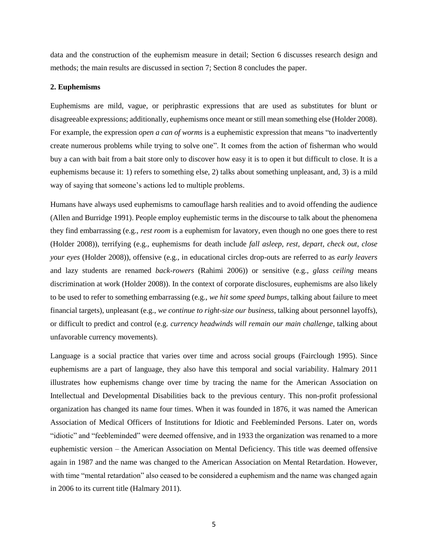data and the construction of the euphemism measure in detail; Section 6 discusses research design and methods; the main results are discussed in section 7; Section 8 concludes the paper.

#### **2. Euphemisms**

Euphemisms are mild, vague, or periphrastic expressions that are used as substitutes for blunt or disagreeable expressions; additionally, euphemisms once meant or still mean something else (Holder 2008). For example, the expression *open a can of worms* is a euphemistic expression that means "to inadvertently create numerous problems while trying to solve one". It comes from the action of fisherman who would buy a can with bait from a bait store only to discover how easy it is to open it but difficult to close. It is a euphemisms because it: 1) refers to something else, 2) talks about something unpleasant, and, 3) is a mild way of saying that someone's actions led to multiple problems.

Humans have always used euphemisms to camouflage harsh realities and to avoid offending the audience (Allen and Burridge 1991). People employ euphemistic terms in the discourse to talk about the phenomena they find embarrassing (e.g., *rest room* is a euphemism for lavatory, even though no one goes there to rest (Holder 2008)), terrifying (e.g., euphemisms for death include *fall asleep, rest, depart, check out, close your eyes* (Holder 2008)), offensive (e.g., in educational circles drop-outs are referred to as *early leavers* and lazy students are renamed *back-rowers* (Rahimi 2006)) or sensitive (e.g., *glass ceiling* means discrimination at work (Holder 2008)). In the context of corporate disclosures, euphemisms are also likely to be used to refer to something embarrassing (e.g., *we hit some speed bumps*, talking about failure to meet financial targets), unpleasant (e.g., *we continue to right-size our business*, talking about personnel layoffs), or difficult to predict and control (e.g. *currency headwinds will remain our main challenge*, talking about unfavorable currency movements).

Language is a social practice that varies over time and across social groups (Fairclough 1995). Since euphemisms are a part of language, they also have this temporal and social variability. Halmary 2011 illustrates how euphemisms change over time by tracing the name for the American Association on Intellectual and Developmental Disabilities back to the previous century. This non-profit professional organization has changed its name four times. When it was founded in 1876, it was named the American Association of Medical Officers of Institutions for Idiotic and Feebleminded Persons. Later on, words "idiotic" and "feebleminded" were deemed offensive, and in 1933 the organization was renamed to a more euphemistic version – the American Association on Mental Deficiency. This title was deemed offensive again in 1987 and the name was changed to the American Association on Mental Retardation. However, with time "mental retardation" also ceased to be considered a euphemism and the name was changed again in 2006 to its current title (Halmary 2011).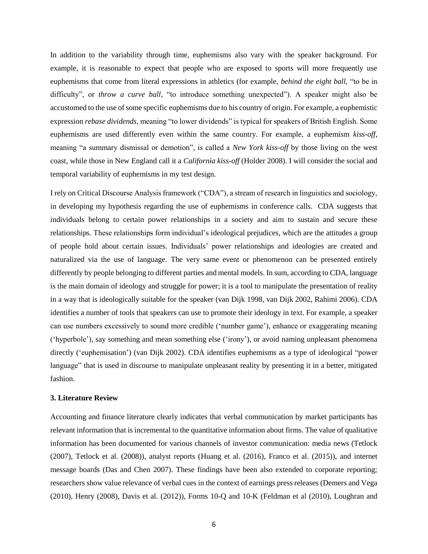In addition to the variability through time, euphemisms also vary with the speaker background. For example, it is reasonable to expect that people who are exposed to sports will more frequently use euphemisms that come from literal expressions in athletics (for example, *behind the eight ball,* "to be in difficulty", or *throw a curve ball*, "to introduce something unexpected"). A speaker might also be accustomed to the use of some specific euphemisms due to his country of origin. For example, a euphemistic expression *rebase dividends*, meaning "to lower dividends" is typical for speakers of British English. Some euphemisms are used differently even within the same country. For example, a euphemism *kiss-off*, meaning "a summary dismissal or demotion", is called a *New York kiss-off* by those living on the west coast, while those in New England call it a *California kiss-off* (Holder 2008). I will consider the social and temporal variability of euphemisms in my test design.

I rely on Critical Discourse Analysis framework ("CDA"), a stream of research in linguistics and sociology, in developing my hypothesis regarding the use of euphemisms in conference calls. CDA suggests that individuals belong to certain power relationships in a society and aim to sustain and secure these relationships. These relationships form individual's ideological prejudices, which are the attitudes a group of people hold about certain issues. Individuals' power relationships and ideologies are created and naturalized via the use of language. The very same event or phenomenon can be presented entirely differently by people belonging to different parties and mental models. In sum, according to CDA, language is the main domain of ideology and struggle for power; it is a tool to manipulate the presentation of reality in a way that is ideologically suitable for the speaker (van Dijk 1998, van Dijk 2002, Rahimi 2006). CDA identifies a number of tools that speakers can use to promote their ideology in text. For example, a speaker can use numbers excessively to sound more credible ('number game'), enhance or exaggerating meaning ('hyperbole'), say something and mean something else ('irony'), or avoid naming unpleasant phenomena directly ('euphemisation') (van Dijk 2002). CDA identifies euphemisms as a type of ideological "power language" that is used in discourse to manipulate unpleasant reality by presenting it in a better, mitigated fashion.

#### **3. Literature Review**

Accounting and finance literature clearly indicates that verbal communication by market participants has relevant information that is incremental to the quantitative information about firms. The value of qualitative information has been documented for various channels of investor communication: media news (Tetlock (2007), Tetlock et al. (2008)), analyst reports (Huang et al. (2016), Franco et al. (2015)), and internet message boards (Das and Chen 2007). These findings have been also extended to corporate reporting; researchers show value relevance of verbal cues in the context of earnings press releases (Demers and Vega (2010), Henry (2008), Davis et al. (2012)), Forms 10-Q and 10-K (Feldman et al (2010), Loughran and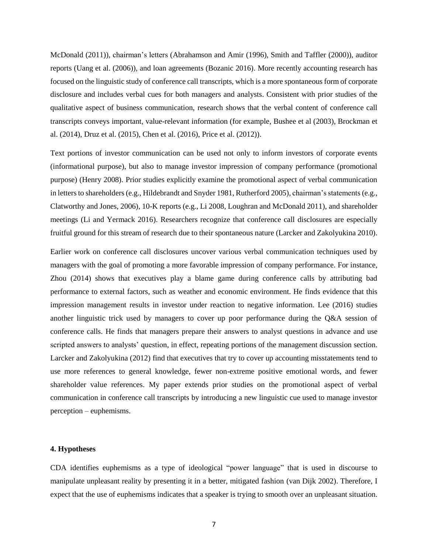McDonald (2011)), chairman's letters (Abrahamson and Amir (1996), Smith and Taffler (2000)), auditor reports (Uang et al. (2006)), and loan agreements (Bozanic 2016). More recently accounting research has focused on the linguistic study of conference call transcripts, which is a more spontaneous form of corporate disclosure and includes verbal cues for both managers and analysts. Consistent with prior studies of the qualitative aspect of business communication, research shows that the verbal content of conference call transcripts conveys important, value-relevant information (for example, Bushee et al (2003), Brockman et al. (2014), Druz et al. (2015), Chen et al. (2016), Price et al. (2012)).

Text portions of investor communication can be used not only to inform investors of corporate events (informational purpose), but also to manage investor impression of company performance (promotional purpose) (Henry 2008). Prior studies explicitly examine the promotional aspect of verbal communication in letters to shareholders (e.g., Hildebrandt and Snyder 1981, Rutherford 2005), chairman's statements (e.g., Clatworthy and Jones, 2006), 10-K reports (e.g., Li 2008, Loughran and McDonald 2011), and shareholder meetings (Li and Yermack 2016). Researchers recognize that conference call disclosures are especially fruitful ground for this stream of research due to their spontaneous nature (Larcker and Zakolyukina 2010).

Earlier work on conference call disclosures uncover various verbal communication techniques used by managers with the goal of promoting a more favorable impression of company performance. For instance, Zhou (2014) shows that executives play a blame game during conference calls by attributing bad performance to external factors, such as weather and economic environment. He finds evidence that this impression management results in investor under reaction to negative information. Lee (2016) studies another linguistic trick used by managers to cover up poor performance during the Q&A session of conference calls. He finds that managers prepare their answers to analyst questions in advance and use scripted answers to analysts' question, in effect, repeating portions of the management discussion section. Larcker and Zakolyukina (2012) find that executives that try to cover up accounting misstatements tend to use more references to general knowledge, fewer non-extreme positive emotional words, and fewer shareholder value references. My paper extends prior studies on the promotional aspect of verbal communication in conference call transcripts by introducing a new linguistic cue used to manage investor perception – euphemisms.

## **4. Hypotheses**

CDA identifies euphemisms as a type of ideological "power language" that is used in discourse to manipulate unpleasant reality by presenting it in a better, mitigated fashion (van Dijk 2002). Therefore, I expect that the use of euphemisms indicates that a speaker is trying to smooth over an unpleasant situation.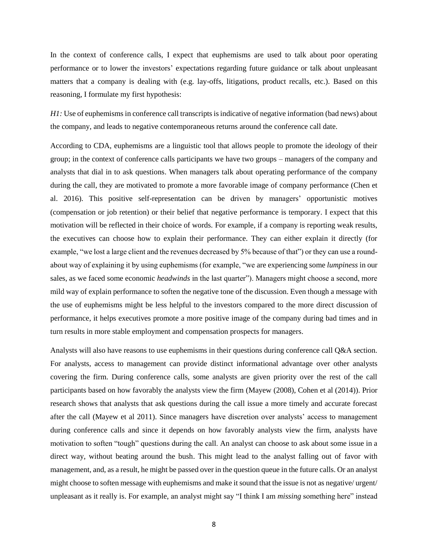In the context of conference calls, I expect that euphemisms are used to talk about poor operating performance or to lower the investors' expectations regarding future guidance or talk about unpleasant matters that a company is dealing with (e.g. lay-offs, litigations, product recalls, etc.). Based on this reasoning, I formulate my first hypothesis:

*H1*: Use of euphemisms in conference call transcripts is indicative of negative information (bad news) about the company, and leads to negative contemporaneous returns around the conference call date.

According to CDA, euphemisms are a linguistic tool that allows people to promote the ideology of their group; in the context of conference calls participants we have two groups – managers of the company and analysts that dial in to ask questions. When managers talk about operating performance of the company during the call, they are motivated to promote a more favorable image of company performance (Chen et al. 2016). This positive self-representation can be driven by managers' opportunistic motives (compensation or job retention) or their belief that negative performance is temporary. I expect that this motivation will be reflected in their choice of words. For example, if a company is reporting weak results, the executives can choose how to explain their performance. They can either explain it directly (for example, "we lost a large client and the revenues decreased by 5% because of that") or they can use a roundabout way of explaining it by using euphemisms (for example, "we are experiencing some *lumpiness* in our sales, as we faced some economic *headwinds* in the last quarter"). Managers might choose a second, more mild way of explain performance to soften the negative tone of the discussion. Even though a message with the use of euphemisms might be less helpful to the investors compared to the more direct discussion of performance, it helps executives promote a more positive image of the company during bad times and in turn results in more stable employment and compensation prospects for managers.

Analysts will also have reasons to use euphemisms in their questions during conference call Q&A section. For analysts, access to management can provide distinct informational advantage over other analysts covering the firm. During conference calls, some analysts are given priority over the rest of the call participants based on how favorably the analysts view the firm (Mayew (2008), Cohen et al (2014)). Prior research shows that analysts that ask questions during the call issue a more timely and accurate forecast after the call (Mayew et al 2011). Since managers have discretion over analysts' access to management during conference calls and since it depends on how favorably analysts view the firm, analysts have motivation to soften "tough" questions during the call. An analyst can choose to ask about some issue in a direct way, without beating around the bush. This might lead to the analyst falling out of favor with management, and, as a result, he might be passed over in the question queue in the future calls. Or an analyst might choose to soften message with euphemisms and make it sound that the issue is not as negative/ urgent/ unpleasant as it really is. For example, an analyst might say "I think I am *missing* something here" instead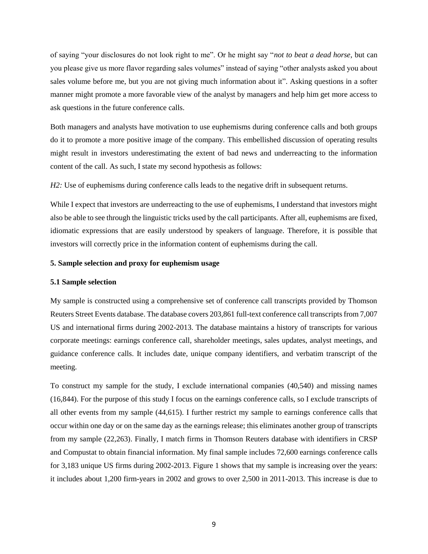of saying "your disclosures do not look right to me". Or he might say "*not to beat a dead horse*, but can you please give us more flavor regarding sales volumes" instead of saying "other analysts asked you about sales volume before me, but you are not giving much information about it". Asking questions in a softer manner might promote a more favorable view of the analyst by managers and help him get more access to ask questions in the future conference calls.

Both managers and analysts have motivation to use euphemisms during conference calls and both groups do it to promote a more positive image of the company. This embellished discussion of operating results might result in investors underestimating the extent of bad news and underreacting to the information content of the call. As such, I state my second hypothesis as follows:

*H2*: Use of euphemisms during conference calls leads to the negative drift in subsequent returns.

While I expect that investors are underreacting to the use of euphemisms, I understand that investors might also be able to see through the linguistic tricks used by the call participants. After all, euphemisms are fixed, idiomatic expressions that are easily understood by speakers of language. Therefore, it is possible that investors will correctly price in the information content of euphemisms during the call.

# **5. Sample selection and proxy for euphemism usage**

#### **5.1 Sample selection**

My sample is constructed using a comprehensive set of conference call transcripts provided by Thomson Reuters Street Events database. The database covers 203,861 full-text conference call transcripts from 7,007 US and international firms during 2002-2013. The database maintains a history of transcripts for various corporate meetings: earnings conference call, shareholder meetings, sales updates, analyst meetings, and guidance conference calls. It includes date, unique company identifiers, and verbatim transcript of the meeting.

To construct my sample for the study, I exclude international companies (40,540) and missing names (16,844). For the purpose of this study I focus on the earnings conference calls, so I exclude transcripts of all other events from my sample (44,615). I further restrict my sample to earnings conference calls that occur within one day or on the same day as the earnings release; this eliminates another group of transcripts from my sample (22,263). Finally, I match firms in Thomson Reuters database with identifiers in CRSP and Compustat to obtain financial information. My final sample includes 72,600 earnings conference calls for 3,183 unique US firms during 2002-2013. Figure 1 shows that my sample is increasing over the years: it includes about 1,200 firm-years in 2002 and grows to over 2,500 in 2011-2013. This increase is due to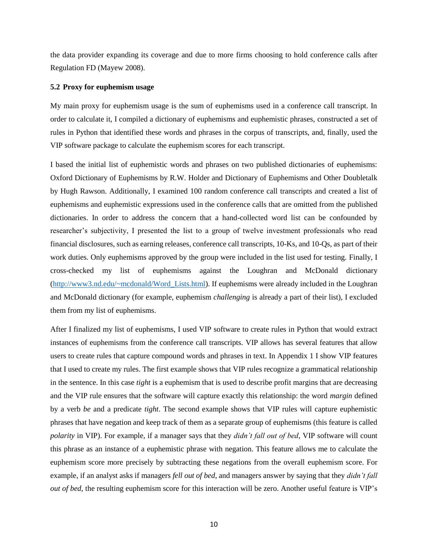the data provider expanding its coverage and due to more firms choosing to hold conference calls after Regulation FD (Mayew 2008).

## **5.2 Proxy for euphemism usage**

My main proxy for euphemism usage is the sum of euphemisms used in a conference call transcript. In order to calculate it, I compiled a dictionary of euphemisms and euphemistic phrases, constructed a set of rules in Python that identified these words and phrases in the corpus of transcripts, and, finally, used the VIP software package to calculate the euphemism scores for each transcript.

I based the initial list of euphemistic words and phrases on two published dictionaries of euphemisms: Oxford Dictionary of Euphemisms by R.W. Holder and Dictionary of Euphemisms and Other Doubletalk by Hugh Rawson. Additionally, I examined 100 random conference call transcripts and created a list of euphemisms and euphemistic expressions used in the conference calls that are omitted from the published dictionaries. In order to address the concern that a hand-collected word list can be confounded by researcher's subjectivity, I presented the list to a group of twelve investment professionals who read financial disclosures, such as earning releases, conference call transcripts, 10-Ks, and 10-Qs, as part of their work duties. Only euphemisms approved by the group were included in the list used for testing. Finally, I cross-checked my list of euphemisms against the Loughran and McDonald dictionary [\(http://www3.nd.edu/~mcdonald/Word\\_Lists.html\)](http://www3.nd.edu/~mcdonald/Word_Lists.html). If euphemisms were already included in the Loughran and McDonald dictionary (for example, euphemism *challenging* is already a part of their list), I excluded them from my list of euphemisms.

After I finalized my list of euphemisms, I used VIP software to create rules in Python that would extract instances of euphemisms from the conference call transcripts. VIP allows has several features that allow users to create rules that capture compound words and phrases in text. In Appendix 1 I show VIP features that I used to create my rules. The first example shows that VIP rules recognize a grammatical relationship in the sentence. In this case *tight* is a euphemism that is used to describe profit margins that are decreasing and the VIP rule ensures that the software will capture exactly this relationship: the word *margin* defined by a verb *be* and a predicate *tight*. The second example shows that VIP rules will capture euphemistic phrases that have negation and keep track of them as a separate group of euphemisms (this feature is called *polarity* in VIP). For example, if a manager says that they *didn't fall out of bed*, VIP software will count this phrase as an instance of a euphemistic phrase with negation. This feature allows me to calculate the euphemism score more precisely by subtracting these negations from the overall euphemism score. For example, if an analyst asks if managers *fell out of bed*, and managers answer by saying that they *didn't fall out of bed*, the resulting euphemism score for this interaction will be zero. Another useful feature is VIP's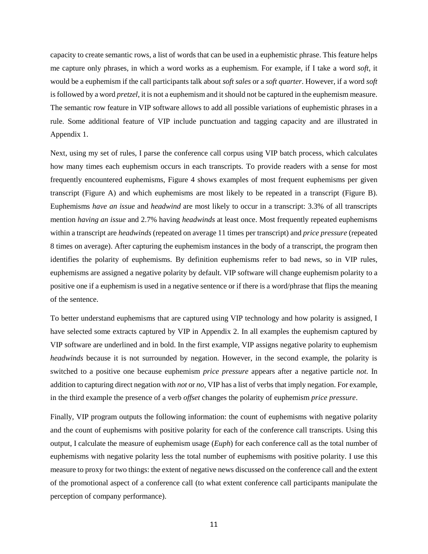capacity to create semantic rows, a list of words that can be used in a euphemistic phrase. This feature helps me capture only phrases, in which a word works as a euphemism. For example, if I take a word *soft*, it would be a euphemism if the call participants talk about *soft sales* or a *soft quarter*. However, if a word *soft* is followed by a word *pretzel*, it is not a euphemism and it should not be captured in the euphemism measure. The semantic row feature in VIP software allows to add all possible variations of euphemistic phrases in a rule. Some additional feature of VIP include punctuation and tagging capacity and are illustrated in Appendix 1.

Next, using my set of rules, I parse the conference call corpus using VIP batch process, which calculates how many times each euphemism occurs in each transcripts. To provide readers with a sense for most frequently encountered euphemisms, Figure 4 shows examples of most frequent euphemisms per given transcript (Figure A) and which euphemisms are most likely to be repeated in a transcript (Figure B). Euphemisms *have an issue* and *headwind* are most likely to occur in a transcript: 3.3% of all transcripts mention *having an issue* and 2.7% having *headwinds* at least once. Most frequently repeated euphemisms within a transcript are *headwinds* (repeated on average 11 times per transcript) and *price pressure* (repeated 8 times on average). After capturing the euphemism instances in the body of a transcript, the program then identifies the polarity of euphemisms. By definition euphemisms refer to bad news, so in VIP rules, euphemisms are assigned a negative polarity by default. VIP software will change euphemism polarity to a positive one if a euphemism is used in a negative sentence or if there is a word/phrase that flips the meaning of the sentence.

To better understand euphemisms that are captured using VIP technology and how polarity is assigned, I have selected some extracts captured by VIP in Appendix 2. In all examples the euphemism captured by VIP software are underlined and in bold. In the first example, VIP assigns negative polarity to euphemism *headwinds* because it is not surrounded by negation. However, in the second example, the polarity is switched to a positive one because euphemism *price pressure* appears after a negative particle *not*. In addition to capturing direct negation with *not* or *no*, VIP has a list of verbs that imply negation. For example, in the third example the presence of a verb *offset* changes the polarity of euphemism *price pressure*.

Finally, VIP program outputs the following information: the count of euphemisms with negative polarity and the count of euphemisms with positive polarity for each of the conference call transcripts. Using this output, I calculate the measure of euphemism usage (*Euph*) for each conference call as the total number of euphemisms with negative polarity less the total number of euphemisms with positive polarity. I use this measure to proxy for two things: the extent of negative news discussed on the conference call and the extent of the promotional aspect of a conference call (to what extent conference call participants manipulate the perception of company performance).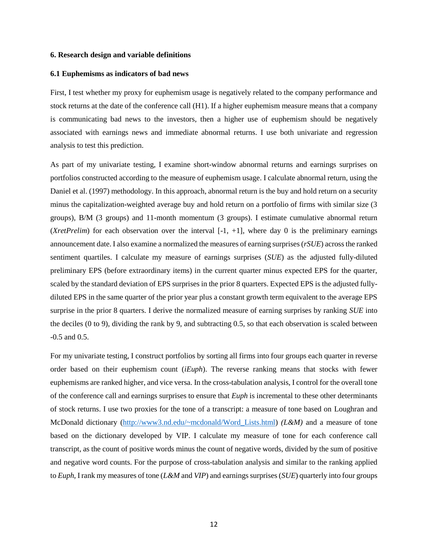#### **6. Research design and variable definitions**

#### **6.1 Euphemisms as indicators of bad news**

First, I test whether my proxy for euphemism usage is negatively related to the company performance and stock returns at the date of the conference call (H1). If a higher euphemism measure means that a company is communicating bad news to the investors, then a higher use of euphemism should be negatively associated with earnings news and immediate abnormal returns. I use both univariate and regression analysis to test this prediction.

As part of my univariate testing, I examine short-window abnormal returns and earnings surprises on portfolios constructed according to the measure of euphemism usage. I calculate abnormal return, using the Daniel et al. (1997) methodology. In this approach, abnormal return is the buy and hold return on a security minus the capitalization-weighted average buy and hold return on a portfolio of firms with similar size (3 groups), B/M (3 groups) and 11-month momentum (3 groups). I estimate cumulative abnormal return (*XretPrelim*) for each observation over the interval  $[-1, +1]$ , where day 0 is the preliminary earnings announcement date. I also examine a normalized the measures of earning surprises (*rSUE*) across the ranked sentiment quartiles. I calculate my measure of earnings surprises (*SUE*) as the adjusted fully-diluted preliminary EPS (before extraordinary items) in the current quarter minus expected EPS for the quarter, scaled by the standard deviation of EPS surprises in the prior 8 quarters. Expected EPS is the adjusted fullydiluted EPS in the same quarter of the prior year plus a constant growth term equivalent to the average EPS surprise in the prior 8 quarters. I derive the normalized measure of earning surprises by ranking *SUE* into the deciles (0 to 9), dividing the rank by 9, and subtracting 0.5, so that each observation is scaled between -0.5 and 0.5.

For my univariate testing, I construct portfolios by sorting all firms into four groups each quarter in reverse order based on their euphemism count (*iEuph*). The reverse ranking means that stocks with fewer euphemisms are ranked higher, and vice versa. In the cross-tabulation analysis, I control for the overall tone of the conference call and earnings surprises to ensure that *Euph* is incremental to these other determinants of stock returns. I use two proxies for the tone of a transcript: a measure of tone based on Loughran and McDonald dictionary [\(http://www3.nd.edu/~mcdonald/Word\\_Lists.html\)](http://www3.nd.edu/~mcdonald/Word_Lists.html) *(L&M)* and a measure of tone based on the dictionary developed by VIP. I calculate my measure of tone for each conference call transcript, as the count of positive words minus the count of negative words, divided by the sum of positive and negative word counts. For the purpose of cross-tabulation analysis and similar to the ranking applied to *Euph*, I rank my measures of tone (*L&M* and *VIP*) and earnings surprises (*SUE*) quarterly into four groups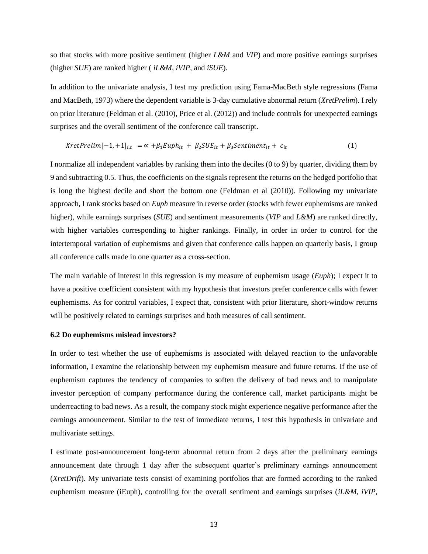so that stocks with more positive sentiment (higher *L&M* and *VIP*) and more positive earnings surprises (higher *SUE*) are ranked higher ( *iL&M, iVIP,* and *iSUE*).

In addition to the univariate analysis, I test my prediction using Fama-MacBeth style regressions (Fama and MacBeth, 1973) where the dependent variable is 3-day cumulative abnormal return (*XretPrelim*). I rely on prior literature (Feldman et al. (2010), Price et al. (2012)) and include controls for unexpected earnings surprises and the overall sentiment of the conference call transcript.

$$
XretPrelim[-1,+1]_{i,t} = \alpha + \beta_1 Euph_{it} + \beta_2 SUE_{it} + \beta_3 Sentiment_{it} + \epsilon_{it}
$$
 (1)

I normalize all independent variables by ranking them into the deciles (0 to 9) by quarter, dividing them by 9 and subtracting 0.5. Thus, the coefficients on the signals represent the returns on the hedged portfolio that is long the highest decile and short the bottom one (Feldman et al (2010)). Following my univariate approach, I rank stocks based on *Euph* measure in reverse order (stocks with fewer euphemisms are ranked higher), while earnings surprises (*SUE*) and sentiment measurements (*VIP* and *L&M*) are ranked directly, with higher variables corresponding to higher rankings. Finally, in order in order to control for the intertemporal variation of euphemisms and given that conference calls happen on quarterly basis, I group all conference calls made in one quarter as a cross-section.

The main variable of interest in this regression is my measure of euphemism usage (*Euph*); I expect it to have a positive coefficient consistent with my hypothesis that investors prefer conference calls with fewer euphemisms. As for control variables, I expect that, consistent with prior literature, short-window returns will be positively related to earnings surprises and both measures of call sentiment.

#### **6.2 Do euphemisms mislead investors?**

In order to test whether the use of euphemisms is associated with delayed reaction to the unfavorable information, I examine the relationship between my euphemism measure and future returns. If the use of euphemism captures the tendency of companies to soften the delivery of bad news and to manipulate investor perception of company performance during the conference call, market participants might be underreacting to bad news. As a result, the company stock might experience negative performance after the earnings announcement. Similar to the test of immediate returns, I test this hypothesis in univariate and multivariate settings.

I estimate post-announcement long-term abnormal return from 2 days after the preliminary earnings announcement date through 1 day after the subsequent quarter's preliminary earnings announcement (*XretDrift*). My univariate tests consist of examining portfolios that are formed according to the ranked euphemism measure (*iEuph*), controlling for the overall sentiment and earnings surprises (*iL&M, iVIP*,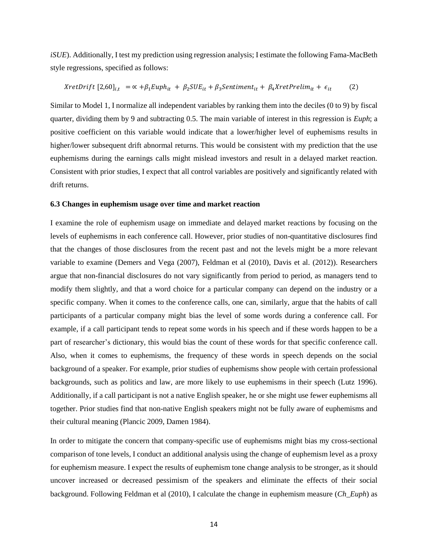*iSUE*). Additionally, I test my prediction using regression analysis; I estimate the following Fama-MacBeth style regressions, specified as follows:

*XretDrift* 
$$
[2,60]_{i,t} = \alpha + \beta_1 \text{Euph}_{it} + \beta_2 \text{SUE}_{it} + \beta_3 \text{Sentiment}_{it} + \beta_4 \text{XretPrelim}_{it} + \epsilon_{it}
$$
 (2)

Similar to Model 1, I normalize all independent variables by ranking them into the deciles (0 to 9) by fiscal quarter, dividing them by 9 and subtracting 0.5. The main variable of interest in this regression is *Euph*; a positive coefficient on this variable would indicate that a lower/higher level of euphemisms results in higher/lower subsequent drift abnormal returns. This would be consistent with my prediction that the use euphemisms during the earnings calls might mislead investors and result in a delayed market reaction. Consistent with prior studies, I expect that all control variables are positively and significantly related with drift returns.

## **6.3 Changes in euphemism usage over time and market reaction**

I examine the role of euphemism usage on immediate and delayed market reactions by focusing on the levels of euphemisms in each conference call. However, prior studies of non-quantitative disclosures find that the changes of those disclosures from the recent past and not the levels might be a more relevant variable to examine (Demers and Vega (2007), Feldman et al (2010), Davis et al. (2012)). Researchers argue that non-financial disclosures do not vary significantly from period to period, as managers tend to modify them slightly, and that a word choice for a particular company can depend on the industry or a specific company. When it comes to the conference calls, one can, similarly, argue that the habits of call participants of a particular company might bias the level of some words during a conference call. For example, if a call participant tends to repeat some words in his speech and if these words happen to be a part of researcher's dictionary, this would bias the count of these words for that specific conference call. Also, when it comes to euphemisms, the frequency of these words in speech depends on the social background of a speaker. For example, prior studies of euphemisms show people with certain professional backgrounds, such as politics and law, are more likely to use euphemisms in their speech (Lutz 1996). Additionally, if a call participant is not a native English speaker, he or she might use fewer euphemisms all together. Prior studies find that non-native English speakers might not be fully aware of euphemisms and their cultural meaning (Plancic 2009, Damen 1984).

In order to mitigate the concern that company-specific use of euphemisms might bias my cross-sectional comparison of tone levels, I conduct an additional analysis using the change of euphemism level as a proxy for euphemism measure. I expect the results of euphemism tone change analysis to be stronger, as it should uncover increased or decreased pessimism of the speakers and eliminate the effects of their social background. Following Feldman et al (2010), I calculate the change in euphemism measure (*Ch\_Euph*) as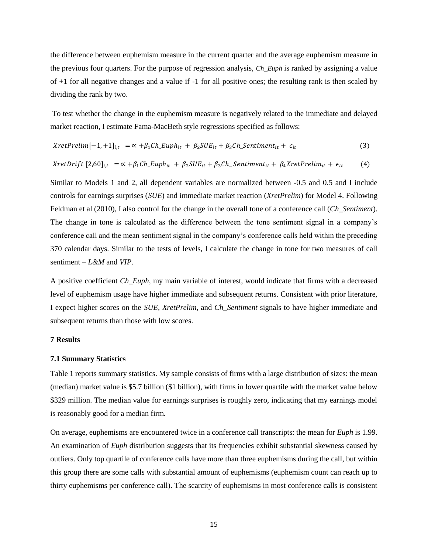the difference between euphemism measure in the current quarter and the average euphemism measure in the previous four quarters. For the purpose of regression analysis, *Ch\_Euph* is ranked by assigning a value of +1 for all negative changes and a value if -1 for all positive ones; the resulting rank is then scaled by dividing the rank by two.

To test whether the change in the euphemism measure is negatively related to the immediate and delayed market reaction, I estimate Fama-MacBeth style regressions specified as follows:

$$
XretPrelim[-1,+1]_{i,t} = \alpha + \beta_1 Ch_Euph_{it} + \beta_2 SUE_{it} + \beta_3 Ch_Sentiment_{it} + \epsilon_{it}
$$
\n(3)

$$
XretDrift [2,60]_{i,t} = \alpha + \beta_1 Ch\_Euph_{it} + \beta_2 SUE_{it} + \beta_3 Ch\_Sentiment_{it} + \beta_4 X retPrelim_{it} + \epsilon_{it}
$$
 (4)

Similar to Models 1 and 2, all dependent variables are normalized between -0.5 and 0.5 and I include controls for earnings surprises (*SUE*) and immediate market reaction (*XretPrelim*) for Model 4. Following Feldman et al (2010), I also control for the change in the overall tone of a conference call (*Ch\_Sentiment*). The change in tone is calculated as the difference between the tone sentiment signal in a company's conference call and the mean sentiment signal in the company's conference calls held within the preceding 370 calendar days. Similar to the tests of levels, I calculate the change in tone for two measures of call sentiment – *L&M* and *VIP*.

A positive coefficient *Ch\_Euph*, my main variable of interest, would indicate that firms with a decreased level of euphemism usage have higher immediate and subsequent returns. Consistent with prior literature, I expect higher scores on the *SUE, XretPrelim,* and *Ch\_Sentiment* signals to have higher immediate and subsequent returns than those with low scores.

## **7 Results**

## **7.1 Summary Statistics**

Table 1 reports summary statistics. My sample consists of firms with a large distribution of sizes: the mean (median) market value is \$5.7 billion (\$1 billion), with firms in lower quartile with the market value below \$329 million. The median value for earnings surprises is roughly zero, indicating that my earnings model is reasonably good for a median firm.

On average, euphemisms are encountered twice in a conference call transcripts: the mean for *Euph* is 1.99. An examination of *Euph* distribution suggests that its frequencies exhibit substantial skewness caused by outliers. Only top quartile of conference calls have more than three euphemisms during the call, but within this group there are some calls with substantial amount of euphemisms (euphemism count can reach up to thirty euphemisms per conference call). The scarcity of euphemisms in most conference calls is consistent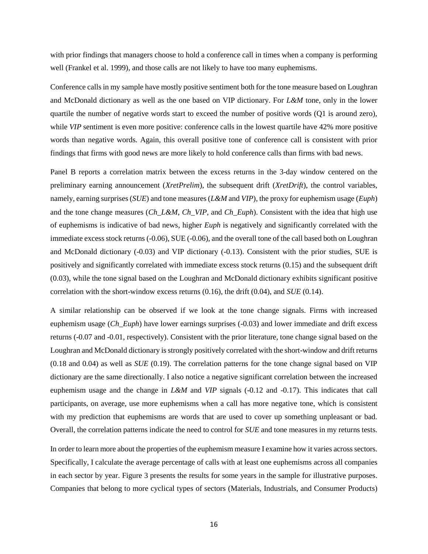with prior findings that managers choose to hold a conference call in times when a company is performing well (Frankel et al. 1999), and those calls are not likely to have too many euphemisms.

Conference calls in my sample have mostly positive sentiment both for the tone measure based on Loughran and McDonald dictionary as well as the one based on VIP dictionary. For *L&M* tone, only in the lower quartile the number of negative words start to exceed the number of positive words (Q1 is around zero), while *VIP* sentiment is even more positive: conference calls in the lowest quartile have 42% more positive words than negative words. Again, this overall positive tone of conference call is consistent with prior findings that firms with good news are more likely to hold conference calls than firms with bad news.

Panel B reports a correlation matrix between the excess returns in the 3-day window centered on the preliminary earning announcement (*XretPrelim*), the subsequent drift (*XretDrift*), the control variables, namely, earning surprises (*SUE*) and tone measures (*L&M* and *VIP*), the proxy for euphemism usage (*Euph*) and the tone change measures (*Ch\_L&M*, *Ch\_VIP*, and *Ch\_Euph*). Consistent with the idea that high use of euphemisms is indicative of bad news, higher *Euph* is negatively and significantly correlated with the immediate excess stock returns (-0.06), SUE (-0.06), and the overall tone of the call based both on Loughran and McDonald dictionary (-0.03) and VIP dictionary (-0.13). Consistent with the prior studies, SUE is positively and significantly correlated with immediate excess stock returns (0.15) and the subsequent drift (0.03), while the tone signal based on the Loughran and McDonald dictionary exhibits significant positive correlation with the short-window excess returns (0.16), the drift (0.04), and *SUE* (0.14).

A similar relationship can be observed if we look at the tone change signals. Firms with increased euphemism usage (*Ch\_Euph*) have lower earnings surprises (-0.03) and lower immediate and drift excess returns (-0.07 and -0.01, respectively). Consistent with the prior literature, tone change signal based on the Loughran and McDonald dictionary is strongly positively correlated with the short-window and drift returns (0.18 and 0.04) as well as *SUE* (0.19). The correlation patterns for the tone change signal based on VIP dictionary are the same directionally. I also notice a negative significant correlation between the increased euphemism usage and the change in *L&M* and *VIP* signals (-0.12 and -0.17). This indicates that call participants, on average, use more euphemisms when a call has more negative tone, which is consistent with my prediction that euphemisms are words that are used to cover up something unpleasant or bad. Overall, the correlation patterns indicate the need to control for *SUE* and tone measures in my returns tests.

In order to learn more about the properties of the euphemism measure I examine how it varies across sectors. Specifically, I calculate the average percentage of calls with at least one euphemisms across all companies in each sector by year. Figure 3 presents the results for some years in the sample for illustrative purposes. Companies that belong to more cyclical types of sectors (Materials, Industrials, and Consumer Products)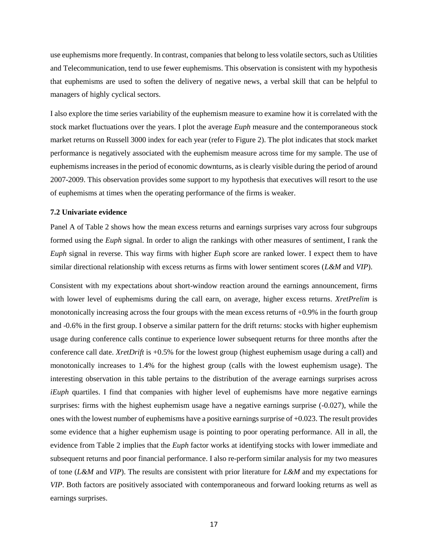use euphemisms more frequently. In contrast, companies that belong to less volatile sectors, such as Utilities and Telecommunication, tend to use fewer euphemisms. This observation is consistent with my hypothesis that euphemisms are used to soften the delivery of negative news, a verbal skill that can be helpful to managers of highly cyclical sectors.

I also explore the time series variability of the euphemism measure to examine how it is correlated with the stock market fluctuations over the years. I plot the average *Euph* measure and the contemporaneous stock market returns on Russell 3000 index for each year (refer to Figure 2). The plot indicates that stock market performance is negatively associated with the euphemism measure across time for my sample. The use of euphemisms increases in the period of economic downturns, as is clearly visible during the period of around 2007-2009. This observation provides some support to my hypothesis that executives will resort to the use of euphemisms at times when the operating performance of the firms is weaker.

# **7.2 Univariate evidence**

Panel A of Table 2 shows how the mean excess returns and earnings surprises vary across four subgroups formed using the *Euph* signal. In order to align the rankings with other measures of sentiment, I rank the *Euph* signal in reverse. This way firms with higher *Euph* score are ranked lower. I expect them to have similar directional relationship with excess returns as firms with lower sentiment scores (*L&M* and *VIP*).

Consistent with my expectations about short-window reaction around the earnings announcement, firms with lower level of euphemisms during the call earn, on average, higher excess returns. *XretPrelim* is monotonically increasing across the four groups with the mean excess returns of  $+0.9\%$  in the fourth group and -0.6% in the first group. I observe a similar pattern for the drift returns: stocks with higher euphemism usage during conference calls continue to experience lower subsequent returns for three months after the conference call date. *XretDrift* is +0.5% for the lowest group (highest euphemism usage during a call) and monotonically increases to 1.4% for the highest group (calls with the lowest euphemism usage). The interesting observation in this table pertains to the distribution of the average earnings surprises across *iEuph* quartiles. I find that companies with higher level of euphemisms have more negative earnings surprises: firms with the highest euphemism usage have a negative earnings surprise (-0.027), while the ones with the lowest number of euphemisms have a positive earnings surprise of +0.023. The result provides some evidence that a higher euphemism usage is pointing to poor operating performance. All in all, the evidence from Table 2 implies that the *Euph* factor works at identifying stocks with lower immediate and subsequent returns and poor financial performance. I also re-perform similar analysis for my two measures of tone (*L&M* and *VIP*). The results are consistent with prior literature for *L&M* and my expectations for *VIP*. Both factors are positively associated with contemporaneous and forward looking returns as well as earnings surprises.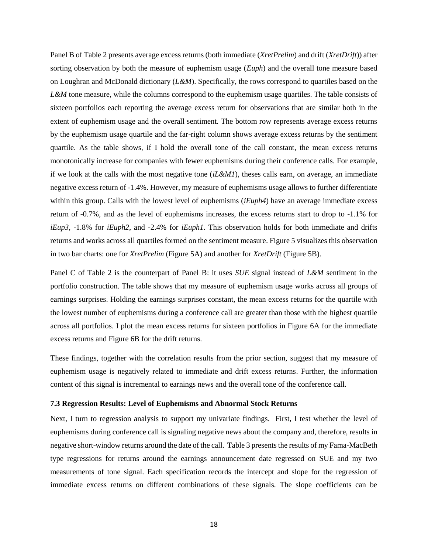Panel B of Table 2 presents average excess returns (both immediate (*XretPrelim*) and drift (*XretDrift*)) after sorting observation by both the measure of euphemism usage (*Euph*) and the overall tone measure based on Loughran and McDonald dictionary (*L&M*). Specifically, the rows correspond to quartiles based on the *L&M* tone measure, while the columns correspond to the euphemism usage quartiles. The table consists of sixteen portfolios each reporting the average excess return for observations that are similar both in the extent of euphemism usage and the overall sentiment. The bottom row represents average excess returns by the euphemism usage quartile and the far-right column shows average excess returns by the sentiment quartile. As the table shows, if I hold the overall tone of the call constant, the mean excess returns monotonically increase for companies with fewer euphemisms during their conference calls. For example, if we look at the calls with the most negative tone  $(iL\&MI)$ , theses calls earn, on average, an immediate negative excess return of -1.4%. However, my measure of euphemisms usage allows to further differentiate within this group. Calls with the lowest level of euphemisms (*iEuph4*) have an average immediate excess return of -0.7%, and as the level of euphemisms increases, the excess returns start to drop to -1.1% for *iEup3*, -1.8% for *iEuph2*, and -2.4% for *iEuph1*. This observation holds for both immediate and drifts returns and works across all quartiles formed on the sentiment measure. Figure 5 visualizes this observation in two bar charts: one for *XretPrelim* (Figure 5A) and another for *XretDrift* (Figure 5B).

Panel C of Table 2 is the counterpart of Panel B: it uses *SUE* signal instead of *L&M* sentiment in the portfolio construction. The table shows that my measure of euphemism usage works across all groups of earnings surprises. Holding the earnings surprises constant, the mean excess returns for the quartile with the lowest number of euphemisms during a conference call are greater than those with the highest quartile across all portfolios. I plot the mean excess returns for sixteen portfolios in Figure 6A for the immediate excess returns and Figure 6B for the drift returns.

These findings, together with the correlation results from the prior section, suggest that my measure of euphemism usage is negatively related to immediate and drift excess returns. Further, the information content of this signal is incremental to earnings news and the overall tone of the conference call.

## **7.3 Regression Results: Level of Euphemisms and Abnormal Stock Returns**

Next, I turn to regression analysis to support my univariate findings. First, I test whether the level of euphemisms during conference call is signaling negative news about the company and, therefore, results in negative short-window returns around the date of the call. Table 3 presents the results of my Fama-MacBeth type regressions for returns around the earnings announcement date regressed on SUE and my two measurements of tone signal. Each specification records the intercept and slope for the regression of immediate excess returns on different combinations of these signals. The slope coefficients can be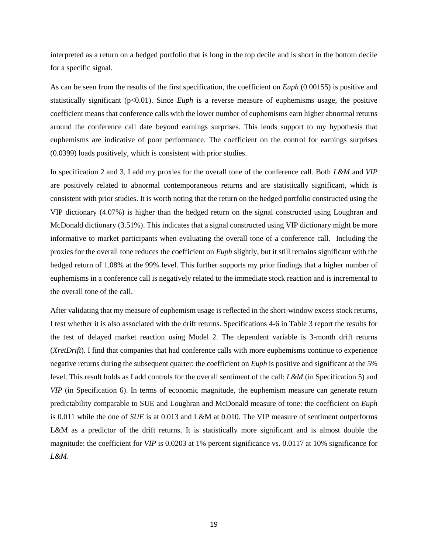interpreted as a return on a hedged portfolio that is long in the top decile and is short in the bottom decile for a specific signal.

As can be seen from the results of the first specification, the coefficient on *Euph* (0.00155) is positive and statistically significant (p<0.01). Since *Euph* is a reverse measure of euphemisms usage, the positive coefficient means that conference calls with the lower number of euphemisms earn higher abnormal returns around the conference call date beyond earnings surprises. This lends support to my hypothesis that euphemisms are indicative of poor performance. The coefficient on the control for earnings surprises (0.0399) loads positively, which is consistent with prior studies.

In specification 2 and 3, I add my proxies for the overall tone of the conference call. Both *L&M* and *VIP* are positively related to abnormal contemporaneous returns and are statistically significant, which is consistent with prior studies. It is worth noting that the return on the hedged portfolio constructed using the VIP dictionary (4.07%) is higher than the hedged return on the signal constructed using Loughran and McDonald dictionary (3.51%). This indicates that a signal constructed using VIP dictionary might be more informative to market participants when evaluating the overall tone of a conference call. Including the proxies for the overall tone reduces the coefficient on *Euph* slightly, but it still remains significant with the hedged return of 1.08% at the 99% level. This further supports my prior findings that a higher number of euphemisms in a conference call is negatively related to the immediate stock reaction and is incremental to the overall tone of the call.

After validating that my measure of euphemism usage is reflected in the short-window excess stock returns, I test whether it is also associated with the drift returns. Specifications 4-6 in Table 3 report the results for the test of delayed market reaction using Model 2. The dependent variable is 3-month drift returns (*XretDrift*). I find that companies that had conference calls with more euphemisms continue to experience negative returns during the subsequent quarter: the coefficient on *Euph* is positive and significant at the 5% level. This result holds as I add controls for the overall sentiment of the call: *L&M* (in Specification 5) and *VIP* (in Specification 6). In terms of economic magnitude, the euphemism measure can generate return predictability comparable to SUE and Loughran and McDonald measure of tone: the coefficient on *Euph* is 0.011 while the one of *SUE* is at 0.013 and L&M at 0.010. The VIP measure of sentiment outperforms L&M as a predictor of the drift returns. It is statistically more significant and is almost double the magnitude: the coefficient for *VIP* is 0.0203 at 1% percent significance vs. 0.0117 at 10% significance for *L&M*.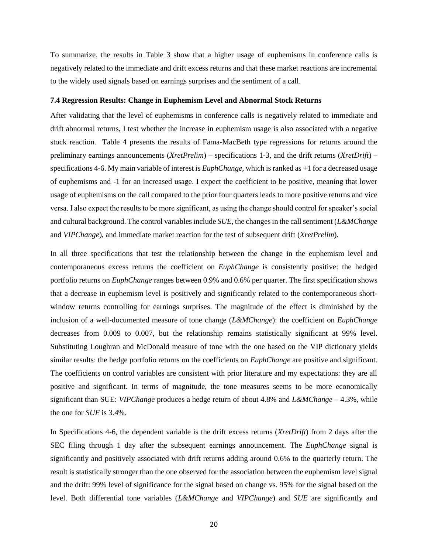To summarize, the results in Table 3 show that a higher usage of euphemisms in conference calls is negatively related to the immediate and drift excess returns and that these market reactions are incremental to the widely used signals based on earnings surprises and the sentiment of a call.

# **7.4 Regression Results: Change in Euphemism Level and Abnormal Stock Returns**

After validating that the level of euphemisms in conference calls is negatively related to immediate and drift abnormal returns, I test whether the increase in euphemism usage is also associated with a negative stock reaction. Table 4 presents the results of Fama-MacBeth type regressions for returns around the preliminary earnings announcements (*XretPrelim*) – specifications 1-3, and the drift returns (*XretDrift*) – specifications 4-6. My main variable of interest is *EuphChange*, which is ranked as +1 for a decreased usage of euphemisms and -1 for an increased usage. I expect the coefficient to be positive, meaning that lower usage of euphemisms on the call compared to the prior four quarters leads to more positive returns and vice versa. I also expect the results to be more significant, as using the change should control for speaker's social and cultural background. The control variables include *SUE*, the changes in the call sentiment (*L&MChange* and *VIPChange*), and immediate market reaction for the test of subsequent drift (*XretPrelim*).

In all three specifications that test the relationship between the change in the euphemism level and contemporaneous excess returns the coefficient on *EuphChange* is consistently positive: the hedged portfolio returns on *EuphChange* ranges between 0.9% and 0.6% per quarter. The first specification shows that a decrease in euphemism level is positively and significantly related to the contemporaneous shortwindow returns controlling for earnings surprises. The magnitude of the effect is diminished by the inclusion of a well-documented measure of tone change (*L&MChange*): the coefficient on *EuphChange* decreases from 0.009 to 0.007, but the relationship remains statistically significant at 99% level. Substituting Loughran and McDonald measure of tone with the one based on the VIP dictionary yields similar results: the hedge portfolio returns on the coefficients on *EuphChange* are positive and significant. The coefficients on control variables are consistent with prior literature and my expectations: they are all positive and significant. In terms of magnitude, the tone measures seems to be more economically significant than SUE: *VIPChange* produces a hedge return of about 4.8% and *L&MChange* – 4.3%, while the one for *SUE* is 3.4%.

In Specifications 4-6, the dependent variable is the drift excess returns (*XretDrift*) from 2 days after the SEC filing through 1 day after the subsequent earnings announcement. The *EuphChange* signal is significantly and positively associated with drift returns adding around 0.6% to the quarterly return. The result is statistically stronger than the one observed for the association between the euphemism level signal and the drift: 99% level of significance for the signal based on change vs. 95% for the signal based on the level. Both differential tone variables (*L&MChange* and *VIPChange*) and *SUE* are significantly and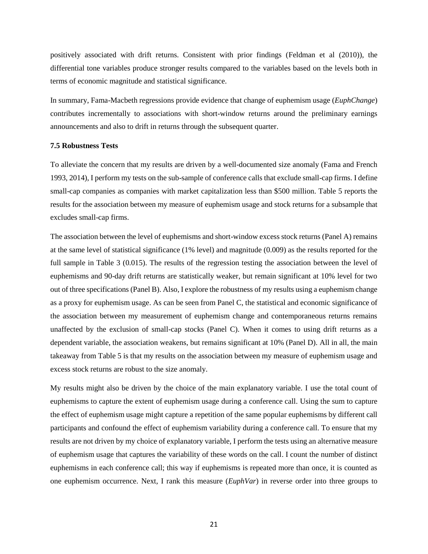positively associated with drift returns. Consistent with prior findings (Feldman et al (2010)), the differential tone variables produce stronger results compared to the variables based on the levels both in terms of economic magnitude and statistical significance.

In summary, Fama-Macbeth regressions provide evidence that change of euphemism usage (*EuphChange*) contributes incrementally to associations with short-window returns around the preliminary earnings announcements and also to drift in returns through the subsequent quarter.

## **7.5 Robustness Tests**

To alleviate the concern that my results are driven by a well-documented size anomaly (Fama and French 1993, 2014), I perform my tests on the sub-sample of conference calls that exclude small-cap firms. I define small-cap companies as companies with market capitalization less than \$500 million. Table 5 reports the results for the association between my measure of euphemism usage and stock returns for a subsample that excludes small-cap firms.

The association between the level of euphemisms and short-window excess stock returns (Panel A) remains at the same level of statistical significance (1% level) and magnitude (0.009) as the results reported for the full sample in Table 3 (0.015). The results of the regression testing the association between the level of euphemisms and 90-day drift returns are statistically weaker, but remain significant at 10% level for two out of three specifications (Panel B). Also, I explore the robustness of my results using a euphemism change as a proxy for euphemism usage. As can be seen from Panel C, the statistical and economic significance of the association between my measurement of euphemism change and contemporaneous returns remains unaffected by the exclusion of small-cap stocks (Panel C). When it comes to using drift returns as a dependent variable, the association weakens, but remains significant at 10% (Panel D). All in all, the main takeaway from Table 5 is that my results on the association between my measure of euphemism usage and excess stock returns are robust to the size anomaly.

My results might also be driven by the choice of the main explanatory variable. I use the total count of euphemisms to capture the extent of euphemism usage during a conference call. Using the sum to capture the effect of euphemism usage might capture a repetition of the same popular euphemisms by different call participants and confound the effect of euphemism variability during a conference call. To ensure that my results are not driven by my choice of explanatory variable, I perform the tests using an alternative measure of euphemism usage that captures the variability of these words on the call. I count the number of distinct euphemisms in each conference call; this way if euphemisms is repeated more than once, it is counted as one euphemism occurrence. Next, I rank this measure (*EuphVar*) in reverse order into three groups to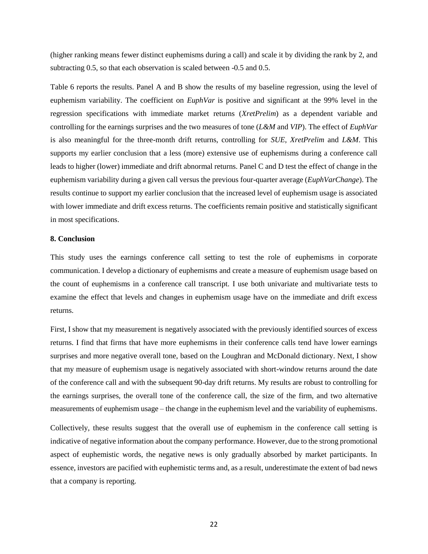(higher ranking means fewer distinct euphemisms during a call) and scale it by dividing the rank by 2, and subtracting 0.5, so that each observation is scaled between -0.5 and 0.5.

Table 6 reports the results. Panel A and B show the results of my baseline regression, using the level of euphemism variability. The coefficient on *EuphVar* is positive and significant at the 99% level in the regression specifications with immediate market returns (*XretPrelim*) as a dependent variable and controlling for the earnings surprises and the two measures of tone (*L&M* and *VIP*). The effect of *EuphVar* is also meaningful for the three-month drift returns, controlling for *SUE*, *XretPrelim* and *L&M*. This supports my earlier conclusion that a less (more) extensive use of euphemisms during a conference call leads to higher (lower) immediate and drift abnormal returns. Panel C and D test the effect of change in the euphemism variability during a given call versus the previous four-quarter average (*EuphVarChange*). The results continue to support my earlier conclusion that the increased level of euphemism usage is associated with lower immediate and drift excess returns. The coefficients remain positive and statistically significant in most specifications.

# **8. Conclusion**

This study uses the earnings conference call setting to test the role of euphemisms in corporate communication. I develop a dictionary of euphemisms and create a measure of euphemism usage based on the count of euphemisms in a conference call transcript. I use both univariate and multivariate tests to examine the effect that levels and changes in euphemism usage have on the immediate and drift excess returns.

First, I show that my measurement is negatively associated with the previously identified sources of excess returns. I find that firms that have more euphemisms in their conference calls tend have lower earnings surprises and more negative overall tone, based on the Loughran and McDonald dictionary. Next, I show that my measure of euphemism usage is negatively associated with short-window returns around the date of the conference call and with the subsequent 90-day drift returns. My results are robust to controlling for the earnings surprises, the overall tone of the conference call, the size of the firm, and two alternative measurements of euphemism usage – the change in the euphemism level and the variability of euphemisms.

Collectively, these results suggest that the overall use of euphemism in the conference call setting is indicative of negative information about the company performance. However, due to the strong promotional aspect of euphemistic words, the negative news is only gradually absorbed by market participants. In essence, investors are pacified with euphemistic terms and, as a result, underestimate the extent of bad news that a company is reporting.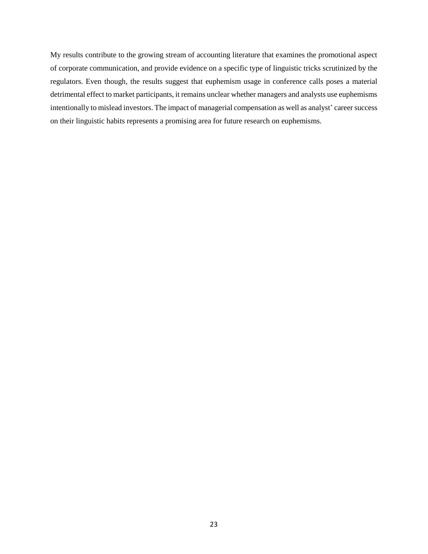My results contribute to the growing stream of accounting literature that examines the promotional aspect of corporate communication, and provide evidence on a specific type of linguistic tricks scrutinized by the regulators. Even though, the results suggest that euphemism usage in conference calls poses a material detrimental effect to market participants, it remains unclear whether managers and analysts use euphemisms intentionally to mislead investors. The impact of managerial compensation as well as analyst' career success on their linguistic habits represents a promising area for future research on euphemisms.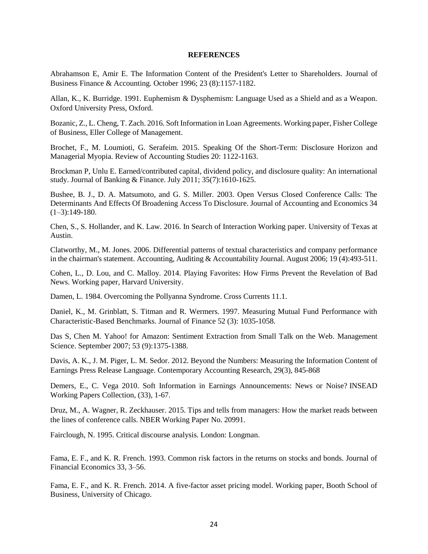## **REFERENCES**

Abrahamson E, Amir E. The Information Content of the President's Letter to Shareholders. Journal of Business Finance & Accounting. October 1996; 23 (8):1157-1182.

Allan, K., K. Burridge. 1991. Euphemism & Dysphemism: Language Used as a Shield and as a Weapon. Oxford University Press, Oxford.

Bozanic, Z., L. Cheng, T. Zach. 2016. Soft Information in Loan Agreements. Working paper, Fisher College of Business, Eller College of Management.

Brochet, F., M. Loumioti, G. Serafeim. 2015. Speaking Of the Short-Term: Disclosure Horizon and Managerial Myopia. Review of Accounting Studies 20: 1122-1163.

Brockman P, Unlu E. Earned/contributed capital, dividend policy, and disclosure quality: An international study. Journal of Banking & Finance. July 2011; 35(7):1610-1625.

Bushee, B. J., D. A. Matsumoto, and G. S. Miller. 2003. Open Versus Closed Conference Calls: The Determinants And Effects Of Broadening Access To Disclosure. Journal of Accounting and Economics 34  $(1-3):149-180.$ 

Chen, S., S. Hollander, and K. Law. 2016. In Search of Interaction Working paper. University of Texas at Austin.

Clatworthy, M., M. Jones. 2006. Differential patterns of textual characteristics and company performance in the chairman's statement. Accounting, Auditing & Accountability Journal. August 2006; 19 (4):493-511.

Cohen, L., D. Lou, and C. Malloy. 2014. Playing Favorites: How Firms Prevent the Revelation of Bad News. Working paper, Harvard University.

Damen, L. 1984. Overcoming the Pollyanna Syndrome. Cross Currents 11.1.

Daniel, K., M. Grinblatt, S. Titman and R. Wermers. 1997. Measuring Mutual Fund Performance with Characteristic-Based Benchmarks. Journal of Finance 52 (3): 1035-1058.

Das S, Chen M. Yahoo! for Amazon: Sentiment Extraction from Small Talk on the Web. Management Science. September 2007; 53 (9):1375-1388.

Davis, A. K., J. M. Piger, L. M. Sedor. 2012. Beyond the Numbers: Measuring the Information Content of Earnings Press Release Language. Contemporary Accounting Research, 29(3), 845-868

Demers, E., C. Vega 2010. Soft Information in Earnings Announcements: News or Noise? INSEAD Working Papers Collection, (33), 1-67.

Druz, M., A. Wagner, R. Zeckhauser. 2015. Tips and tells from managers: How the market reads between the lines of conference calls. NBER Working Paper No. 20991.

Fairclough, N. 1995. Critical discourse analysis. London: Longman.

Fama, E. F., and K. R. French. 1993. Common risk factors in the returns on stocks and bonds. Journal of Financial Economics 33, 3–56.

Fama, E. F., and K. R. French. 2014. A five-factor asset pricing model. Working paper, Booth School of Business, University of Chicago.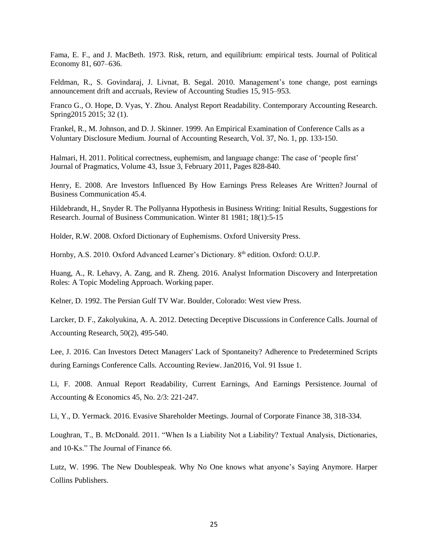Fama, E. F., and J. MacBeth. 1973. Risk, return, and equilibrium: empirical tests. Journal of Political Economy 81, 607–636.

Feldman, R., S. Govindaraj, J. Livnat, B. Segal. 2010. Management's tone change, post earnings announcement drift and accruals, Review of Accounting Studies 15, 915–953.

Franco G., O. Hope, D. Vyas, Y. Zhou. Analyst Report Readability. Contemporary Accounting Research. Spring2015 2015; 32 (1).

Frankel, R., M. Johnson, and D. J. Skinner. 1999. An Empirical Examination of Conference Calls as a Voluntary Disclosure Medium. Journal of Accounting Research, Vol. 37, No. 1, pp. 133-150.

Halmari, H. 2011. Political correctness, [euphemism, and language change: The case of 'people first'](http://www.sciencedirect.com.proxy.libraries.rutgers.edu/science/article/pii/S0378216610002961) Journal of Pragmatics, Volume 43, Issue 3, February 2011, Pages 828-840.

Henry, E. 2008. Are Investors Influenced By How Earnings Press Releases Are Written? Journal of Business Communication 45.4.

Hildebrandt, H., Snyder R. The Pollyanna Hypothesis in Business Writing: Initial Results, Suggestions for Research. Journal of Business Communication. Winter 81 1981; 18(1):5-15

Holder, R.W. 2008. Oxford Dictionary of Euphemisms. Oxford University Press.

Hornby, A.S. 2010. Oxford Advanced Learner's Dictionary. 8th edition. Oxford: O.U.P.

Huang, A., R. Lehavy, A. Zang, and R. Zheng. 2016. Analyst Information Discovery and Interpretation Roles: A Topic Modeling Approach. Working paper.

Kelner, D. 1992. The Persian Gulf TV War. Boulder, Colorado: West view Press.

Larcker, D. F., Zakolyukina, A. A. 2012. Detecting Deceptive Discussions in Conference Calls. Journal of Accounting Research, 50(2), 495-540.

Lee, J. 2016. Can Investors Detect Managers' Lack of Spontaneity? Adherence to Predetermined Scripts during Earnings Conference Calls. [Accounting Review.](javascript:__doLinkPostBack() Jan2016, Vol. 91 Issue 1.

Li, F. 2008. Annual Report Readability, Current Earnings, And Earnings Persistence. Journal of Accounting & Economics 45, No. 2/3: 221-247.

Li, Y., D. Yermack. 2016. Evasive Shareholder Meetings. Journal of Corporate Finance 38, 318-334.

Loughran, T., B. McDonald. 2011. "When Is a Liability Not a Liability? Textual Analysis, Dictionaries, and 10-Ks." The Journal of Finance 66.

Lutz, W. 1996. The New Doublespeak. Why No One knows what anyone's Saying Anymore. Harper Collins Publishers.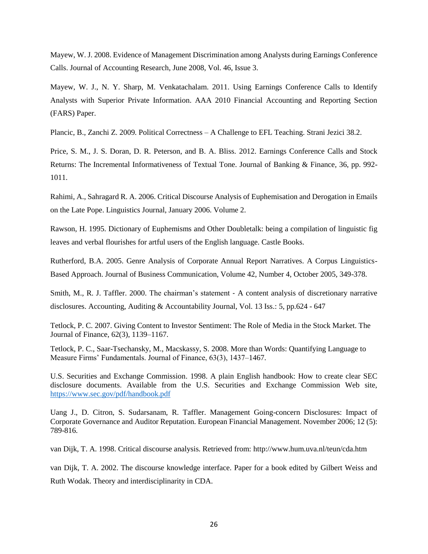Mayew, W. J. 2008. Evidence of Management Discrimination among Analysts during Earnings Conference Calls. Journal of Accounting Research, June 2008, Vol. 46, Issue 3.

Mayew, W. J., N. Y. Sharp, M. Venkatachalam. 2011. Using Earnings Conference Calls to Identify Analysts with Superior Private Information. AAA 2010 Financial Accounting and Reporting Section (FARS) Paper.

Plancic, B., Zanchi Z. 2009. Political Correctness – A Challenge to EFL Teaching. Strani Jezici 38.2.

Price, S. M., J. S. Doran, D. R. Peterson, and B. A. Bliss. 2012. Earnings Conference Calls and Stock Returns: The Incremental Informativeness of Textual Tone. Journal of Banking & Finance, 36, pp. 992- 1011.

Rahimi, A., Sahragard R. A. 2006. Critical Discourse Analysis of Euphemisation and Derogation in Emails on the Late Pope. Linguistics Journal, January 2006. Volume 2.

Rawson, H. 1995. Dictionary of Euphemisms and Other Doubletalk: being a compilation of linguistic fig leaves and verbal flourishes for artful users of the English language. Castle Books.

Rutherford, B.A. 2005. Genre Analysis of Corporate Annual Report Narratives. A Corpus Linguistics-Based Approach. Journal of Business Communication, Volume 42, Number 4, October 2005, 349-378.

[Smith,](http://www.emeraldinsight.com/author/Smith%2C+Malcolm) M., R. J. [Taffler.](http://www.emeraldinsight.com/author/Taffler%2C+Richard+J) 2000. The chairman's statement - A content analysis of discretionary narrative disclosures. Accounting, Auditing & Accountability Journal, Vol. 13 Iss.: 5, pp.624 - 647

Tetlock, P. C. 2007. Giving Content to Investor Sentiment: The Role of Media in the Stock Market. The Journal of Finance, 62(3), 1139–1167.

Tetlock, P. C., Saar-Tsechansky, M., Macskassy, S. 2008. More than Words: Quantifying Language to Measure Firms' Fundamentals. Journal of Finance, 63(3), 1437–1467.

U.S. Securities and Exchange Commission. 1998. A plain English handbook: How to create clear SEC disclosure documents. Available from the U.S. Securities and Exchange Commission Web site, <https://www.sec.gov/pdf/handbook.pdf>

Uang J., D. Citron, S. Sudarsanam, R. Taffler. Management Going-concern Disclosures: Impact of Corporate Governance and Auditor Reputation. European Financial Management. November 2006; 12 (5): 789-816.

van Dijk, T. A. 1998. Critical discourse analysis. Retrieved from:<http://www.hum.uva.nl/teun/cda.htm>

van Dijk, T. A. 2002. The discourse knowledge interface. Paper for a book edited by Gilbert Weiss and Ruth Wodak. Theory and interdisciplinarity in CDA.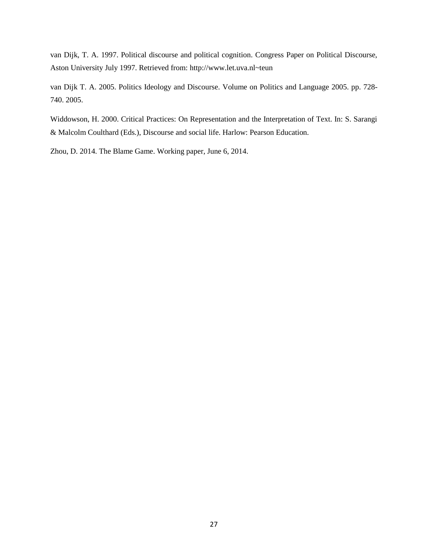van Dijk, T. A. 1997. Political discourse and political cognition. Congress Paper on Political Discourse, Aston University July 1997. Retrieved from: http://www.let.uva.nl~teun

van Dijk T. A. 2005. Politics Ideology and Discourse. Volume on Politics and Language 2005. pp. 728- 740. 2005.

Widdowson, H. 2000. Critical Practices: On Representation and the Interpretation of Text. In: S. Sarangi & Malcolm Coulthard (Eds.), Discourse and social life. Harlow: Pearson Education.

Zhou, D. 2014. The Blame Game. Working paper, June 6, 2014.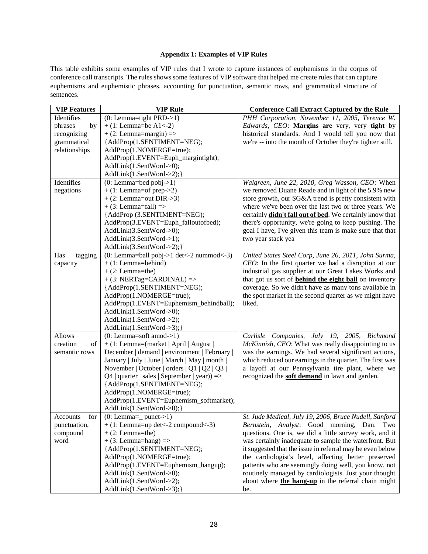# **Appendix 1: Examples of VIP Rules**

This table exhibits some examples of VIP rules that I wrote to capture instances of euphemisms in the corpus of conference call transcripts. The rules shows some features of VIP software that helped me create rules that can capture euphemisms and euphemistic phrases, accounting for punctuation, semantic rows, and grammatical structure of sentences.

| Identifies<br>$(0: Lemma="right PRD-1)$<br>PHH Corporation, November 11, 2005, Terence W.<br>Edwards, CEO: Margins are very, very tight by<br>phrases<br>$+ (1: Lemma = be A1 < -2)$<br>by<br>$+ (2: Lemma = margin)$ =><br>historical standards. And I would tell you now that<br>recognizing<br>{AddProp(1.SENTIMENT=NEG);<br>grammatical<br>we're -- into the month of October they're tighter still.<br>relationships<br>AddProp(1.NOMERGE=true);<br>AddProp(1.EVENT=Euph_margintight);<br>AddLink(1.SentWord->0);<br>AddLink(1.SentWord->2);}<br>Identifies<br>$(0: Lemma = bed \text{ pobj} > 1)$<br>Walgreen, June 22, 2010, Greg Wasson, CEO: When<br>we removed Duane Reade and in light of the 5.9% new<br>negations<br>$+$ (1: Lemma=of prep->2)<br>$+$ (2: Lemma=out DIR->3)<br>store growth, our SG&A trend is pretty consistent with |
|----------------------------------------------------------------------------------------------------------------------------------------------------------------------------------------------------------------------------------------------------------------------------------------------------------------------------------------------------------------------------------------------------------------------------------------------------------------------------------------------------------------------------------------------------------------------------------------------------------------------------------------------------------------------------------------------------------------------------------------------------------------------------------------------------------------------------------------------------|
|                                                                                                                                                                                                                                                                                                                                                                                                                                                                                                                                                                                                                                                                                                                                                                                                                                                    |
|                                                                                                                                                                                                                                                                                                                                                                                                                                                                                                                                                                                                                                                                                                                                                                                                                                                    |
|                                                                                                                                                                                                                                                                                                                                                                                                                                                                                                                                                                                                                                                                                                                                                                                                                                                    |
|                                                                                                                                                                                                                                                                                                                                                                                                                                                                                                                                                                                                                                                                                                                                                                                                                                                    |
|                                                                                                                                                                                                                                                                                                                                                                                                                                                                                                                                                                                                                                                                                                                                                                                                                                                    |
|                                                                                                                                                                                                                                                                                                                                                                                                                                                                                                                                                                                                                                                                                                                                                                                                                                                    |
|                                                                                                                                                                                                                                                                                                                                                                                                                                                                                                                                                                                                                                                                                                                                                                                                                                                    |
|                                                                                                                                                                                                                                                                                                                                                                                                                                                                                                                                                                                                                                                                                                                                                                                                                                                    |
|                                                                                                                                                                                                                                                                                                                                                                                                                                                                                                                                                                                                                                                                                                                                                                                                                                                    |
|                                                                                                                                                                                                                                                                                                                                                                                                                                                                                                                                                                                                                                                                                                                                                                                                                                                    |
|                                                                                                                                                                                                                                                                                                                                                                                                                                                                                                                                                                                                                                                                                                                                                                                                                                                    |
| where we've been over the last two or three years. We<br>$+$ (3: Lemma=fall) =>                                                                                                                                                                                                                                                                                                                                                                                                                                                                                                                                                                                                                                                                                                                                                                    |
| {AddProp (3.SENTIMENT=NEG);<br>certainly <b>didn't fall out of bed</b> . We certainly know that                                                                                                                                                                                                                                                                                                                                                                                                                                                                                                                                                                                                                                                                                                                                                    |
| there's opportunity, we're going to keep pushing. The<br>AddProp(3.EVENT=Euph_falloutofbed);                                                                                                                                                                                                                                                                                                                                                                                                                                                                                                                                                                                                                                                                                                                                                       |
| goal I have, I've given this team is make sure that that<br>AddLink(3.SentWord->0);                                                                                                                                                                                                                                                                                                                                                                                                                                                                                                                                                                                                                                                                                                                                                                |
| AddLink(3.SentWord->1);<br>two year stack yea                                                                                                                                                                                                                                                                                                                                                                                                                                                                                                                                                                                                                                                                                                                                                                                                      |
| AddLink(3.SentWord->2);}                                                                                                                                                                                                                                                                                                                                                                                                                                                                                                                                                                                                                                                                                                                                                                                                                           |
| $(0: Lemma = ball \text{ pobj} > 1 \text{ det} < -2 \text{ nummod} < -3)$<br>United States Steel Corp, June 26, 2011, John Surma,<br>Has<br>tagging                                                                                                                                                                                                                                                                                                                                                                                                                                                                                                                                                                                                                                                                                                |
| capacity<br>$+$ (1: Lemma=behind)<br>CEO: In the first quarter we had a disruption at our                                                                                                                                                                                                                                                                                                                                                                                                                                                                                                                                                                                                                                                                                                                                                          |
| industrial gas supplier at our Great Lakes Works and<br>$+ (2: Lemma = the)$                                                                                                                                                                                                                                                                                                                                                                                                                                                                                                                                                                                                                                                                                                                                                                       |
| $+$ (3: NERTag=CARDINAL) =><br>that got us sort of <b>behind the eight ball</b> on inventory                                                                                                                                                                                                                                                                                                                                                                                                                                                                                                                                                                                                                                                                                                                                                       |
| {AddProp(1.SENTIMENT=NEG);<br>coverage. So we didn't have as many tons available in                                                                                                                                                                                                                                                                                                                                                                                                                                                                                                                                                                                                                                                                                                                                                                |
| AddProp(1.NOMERGE=true);<br>the spot market in the second quarter as we might have                                                                                                                                                                                                                                                                                                                                                                                                                                                                                                                                                                                                                                                                                                                                                                 |
| AddProp(1.EVENT=Euphemism_behindball);<br>liked.                                                                                                                                                                                                                                                                                                                                                                                                                                                                                                                                                                                                                                                                                                                                                                                                   |
| AddLink(1.SentWord->0);                                                                                                                                                                                                                                                                                                                                                                                                                                                                                                                                                                                                                                                                                                                                                                                                                            |
| AddLink(1.SentWord->2);                                                                                                                                                                                                                                                                                                                                                                                                                                                                                                                                                                                                                                                                                                                                                                                                                            |
| AddLink(1.SentWord->3);}                                                                                                                                                                                                                                                                                                                                                                                                                                                                                                                                                                                                                                                                                                                                                                                                                           |
| <b>Allows</b><br>$(0: Lemma = soft \text{ and } >1)$<br>Carlisle Companies, July 19, 2005, Richmond                                                                                                                                                                                                                                                                                                                                                                                                                                                                                                                                                                                                                                                                                                                                                |
| creation<br>+ (1: Lemma=(market   April   August  <br>McKinnish, CEO: What was really disappointing to us<br>of                                                                                                                                                                                                                                                                                                                                                                                                                                                                                                                                                                                                                                                                                                                                    |
| December   demand   environment   February  <br>was the earnings. We had several significant actions,<br>semantic rows                                                                                                                                                                                                                                                                                                                                                                                                                                                                                                                                                                                                                                                                                                                             |
| January   July   June   March   May   month  <br>which reduced our earnings in the quarter. The first was                                                                                                                                                                                                                                                                                                                                                                                                                                                                                                                                                                                                                                                                                                                                          |
| November   October   orders   Q1   Q2   Q3  <br>a layoff at our Pennsylvania tire plant, where we                                                                                                                                                                                                                                                                                                                                                                                                                                                                                                                                                                                                                                                                                                                                                  |
| recognized the <b>soft demand</b> in lawn and garden.<br>$Q4$   quarter   sales   September   year)) =>                                                                                                                                                                                                                                                                                                                                                                                                                                                                                                                                                                                                                                                                                                                                            |
| {AddProp(1.SENTIMENT=NEG);                                                                                                                                                                                                                                                                                                                                                                                                                                                                                                                                                                                                                                                                                                                                                                                                                         |
| AddProp(1.NOMERGE=true);                                                                                                                                                                                                                                                                                                                                                                                                                                                                                                                                                                                                                                                                                                                                                                                                                           |
| AddProp(1.EVENT=Euphemism_softmarket);                                                                                                                                                                                                                                                                                                                                                                                                                                                                                                                                                                                                                                                                                                                                                                                                             |
| AddLink(1.SentWord->0);}                                                                                                                                                                                                                                                                                                                                                                                                                                                                                                                                                                                                                                                                                                                                                                                                                           |
| St. Jude Medical, July 19, 2006, Bruce Nudell, Sanford<br>for<br>$(0: Lemma = _{pure} > 1)$<br>Accounts                                                                                                                                                                                                                                                                                                                                                                                                                                                                                                                                                                                                                                                                                                                                            |
| $+$ (1: Lemma=up det <-2 compound <- 3)<br>Bernstein, Analyst: Good morning, Dan. Two<br>punctuation,                                                                                                                                                                                                                                                                                                                                                                                                                                                                                                                                                                                                                                                                                                                                              |
| questions. One is, we did a little survey work, and it<br>$+ (2: Lemma = the)$<br>compound                                                                                                                                                                                                                                                                                                                                                                                                                                                                                                                                                                                                                                                                                                                                                         |
| $+$ (3: Lemma=hang) =><br>was certainly inadequate to sample the waterfront. But<br>word<br>it suggested that the issue in referral may be even below<br>{AddProp(1.SENTIMENT=NEG);                                                                                                                                                                                                                                                                                                                                                                                                                                                                                                                                                                                                                                                                |
| AddProp(1.NOMERGE=true);                                                                                                                                                                                                                                                                                                                                                                                                                                                                                                                                                                                                                                                                                                                                                                                                                           |
| the cardiologist's level, affecting better preserved<br>AddProp(1.EVENT=Euphemism_hangup);<br>patients who are seemingly doing well, you know, not                                                                                                                                                                                                                                                                                                                                                                                                                                                                                                                                                                                                                                                                                                 |
| routinely managed by cardiologists. Just your thought<br>AddLink(1.SentWord->0);                                                                                                                                                                                                                                                                                                                                                                                                                                                                                                                                                                                                                                                                                                                                                                   |
| about where the hang-up in the referral chain might<br>AddLink(1.SentWord->2);                                                                                                                                                                                                                                                                                                                                                                                                                                                                                                                                                                                                                                                                                                                                                                     |
| AddLink(1.SentWord->3);}<br>be.                                                                                                                                                                                                                                                                                                                                                                                                                                                                                                                                                                                                                                                                                                                                                                                                                    |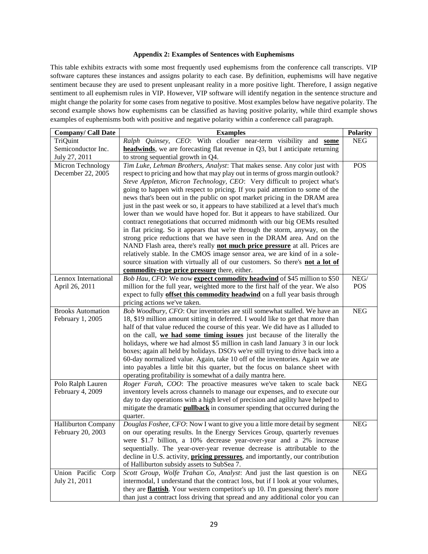## **Appendix 2: Examples of Sentences with Euphemisms**

This table exhibits extracts with some most frequently used euphemisms from the conference call transcripts. VIP software captures these instances and assigns polarity to each case. By definition, euphemisms will have negative sentiment because they are used to present unpleasant reality in a more positive light. Therefore, I assign negative sentiment to all euphemism rules in VIP. However, VIP software will identify negation in the sentence structure and might change the polarity for some cases from negative to positive. Most examples below have negative polarity. The second example shows how euphemisms can be classified as having positive polarity, while third example shows examples of euphemisms both with positive and negative polarity within a conference call paragraph.

| <b>Company/ Call Date</b>  | <b>Examples</b>                                                                        | <b>Polarity</b> |
|----------------------------|----------------------------------------------------------------------------------------|-----------------|
| TriQuint                   | Ralph Quinsey, CEO: With cloudier near-term visibility and some                        | <b>NEG</b>      |
| Semiconductor Inc.         | headwinds, we are forecasting flat revenue in Q3, but I anticipate returning           |                 |
| July 27, 2011              | to strong sequential growth in Q4.                                                     |                 |
| Micron Technology          | Tim Luke, Lehman Brothers, Analyst: That makes sense. Any color just with              | POS             |
| December 22, 2005          | respect to pricing and how that may play out in terms of gross margin outlook?         |                 |
|                            | Steve Appleton, Micron Technology, CEO: Very difficult to project what's               |                 |
|                            | going to happen with respect to pricing. If you paid attention to some of the          |                 |
|                            | news that's been out in the public on spot market pricing in the DRAM area             |                 |
|                            | just in the past week or so, it appears to have stabilized at a level that's much      |                 |
|                            | lower than we would have hoped for. But it appears to have stabilized. Our             |                 |
|                            | contract renegotiations that occurred midmonth with our big OEMs resulted              |                 |
|                            | in flat pricing. So it appears that we're through the storm, anyway, on the            |                 |
|                            | strong price reductions that we have seen in the DRAM area. And on the                 |                 |
|                            | NAND Flash area, there's really not much price pressure at all. Prices are             |                 |
|                            | relatively stable. In the CMOS image sensor area, we are kind of in a sole-            |                 |
|                            | source situation with virtually all of our customers. So there's not a lot of          |                 |
|                            | commodity-type price pressure there, either.                                           |                 |
| Lennox International       | Bob Hau, CFO: We now expect commodity headwind of \$45 million to \$50                 | ${\rm NEG}/$    |
| April 26, 2011             | million for the full year, weighted more to the first half of the year. We also        | <b>POS</b>      |
|                            | expect to fully offset this commodity headwind on a full year basis through            |                 |
|                            | pricing actions we've taken.                                                           |                 |
| <b>Brooks Automation</b>   | Bob Woodbury, CFO: Our inventories are still somewhat stalled. We have an              | ${\rm NEG}$     |
| February 1, 2005           | 18, \$19 million amount sitting in deferred. I would like to get that more than        |                 |
|                            | half of that value reduced the course of this year. We did have as I alluded to        |                 |
|                            | on the call, we had some timing issues just because of the literally the               |                 |
|                            | holidays, where we had almost \$5 million in cash land January 3 in our lock           |                 |
|                            | boxes; again all held by holidays. DSO's we're still trying to drive back into a       |                 |
|                            | 60-day normalized value. Again, take 10 off of the inventories. Again we ate           |                 |
|                            | into payables a little bit this quarter, but the focus on balance sheet with           |                 |
|                            | operating profitability is somewhat of a daily mantra here.                            |                 |
| Polo Ralph Lauren          | Roger Farah, COO: The proactive measures we've taken to scale back                     | <b>NEG</b>      |
| February 4, 2009           | inventory levels across channels to manage our expenses, and to execute our            |                 |
|                            | day to day operations with a high level of precision and agility have helped to        |                 |
|                            | mitigate the dramatic <b>pullback</b> in consumer spending that occurred during the    |                 |
|                            | quarter.                                                                               |                 |
| <b>Halliburton Company</b> | Douglas Foshee, CFO: Now I want to give you a little more detail by segment            | <b>NEG</b>      |
| February 20, 2003          | on our operating results. In the Energy Services Group, quarterly revenues             |                 |
|                            | were \$1.7 billion, a 10% decrease year-over-year and a 2% increase                    |                 |
|                            | sequentially. The year-over-year revenue decrease is attributable to the               |                 |
|                            | decline in U.S. activity, <i>pricing pressures</i> , and importantly, our contribution |                 |
|                            | of Halliburton subsidy assets to SubSea 7.                                             |                 |
| Union Pacific Corp         | Scott Group, Wolfe Trahan Co, Analyst: And just the last question is on                | <b>NEG</b>      |
| July 21, 2011              | intermodal, I understand that the contract loss, but if I look at your volumes,        |                 |
|                            | they are <b>flattish</b> . Your western competitor's up 10. I'm guessing there's more  |                 |
|                            | than just a contract loss driving that spread and any additional color you can         |                 |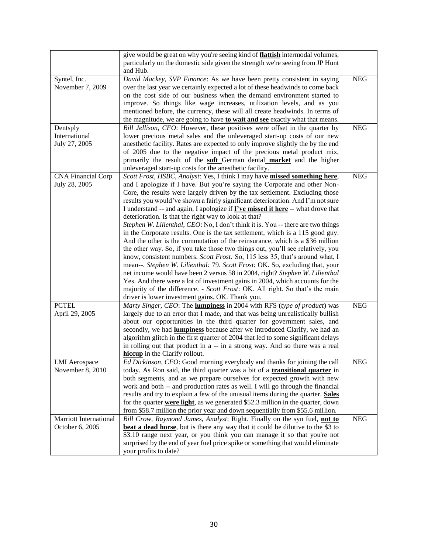|                               | give would be great on why you're seeing kind of <i>flattish</i> intermodal volumes,                                                          |             |
|-------------------------------|-----------------------------------------------------------------------------------------------------------------------------------------------|-------------|
|                               | particularly on the domestic side given the strength we're seeing from JP Hunt                                                                |             |
|                               | and Hub.                                                                                                                                      |             |
| Syntel, Inc.                  | David Mackey, SVP Finance: As we have been pretty consistent in saying                                                                        | <b>NEG</b>  |
| November 7, 2009              | over the last year we certainly expected a lot of these headwinds to come back                                                                |             |
|                               | on the cost side of our business when the demand environment started to                                                                       |             |
|                               | improve. So things like wage increases, utilization levels, and as you                                                                        |             |
|                               | mentioned before, the currency, these will all create headwinds. In terms of                                                                  |             |
|                               | the magnitude, we are going to have to wait and see exactly what that means.                                                                  |             |
| Dentsply                      | Bill Jellison, CFO: However, these positives were offset in the quarter by                                                                    | ${\rm NEG}$ |
| International                 | lower precious metal sales and the unleveraged start-up costs of our new                                                                      |             |
| July 27, 2005                 | anesthetic facility. Rates are expected to only improve slightly the by the end                                                               |             |
|                               | of 2005 due to the negative impact of the precious metal product mix,                                                                         |             |
|                               |                                                                                                                                               |             |
|                               | primarily the result of the <b>soft</b> German dental <b>market</b> and the higher<br>unleveraged start-up costs for the anesthetic facility. |             |
| <b>CNA Financial Corp</b>     | Scott Frost, HSBC, Analyst: Yes, I think I may have missed something here,                                                                    | ${\rm NEG}$ |
| July 28, 2005                 | and I apologize if I have. But you're saying the Corporate and other Non-                                                                     |             |
|                               |                                                                                                                                               |             |
|                               | Core, the results were largely driven by the tax settlement. Excluding those                                                                  |             |
|                               | results you would've shown a fairly significant deterioration. And I'm not sure                                                               |             |
|                               | I understand -- and again, I apologize if <i>I've missed it here</i> -- what drove that                                                       |             |
|                               | deterioration. Is that the right way to look at that?                                                                                         |             |
|                               | Stephen W. Lilienthal, CEO: No, I don't think it is. You -- there are two things                                                              |             |
|                               | in the Corporate results. One is the tax settlement, which is a 115 good guy.                                                                 |             |
|                               | And the other is the commutation of the reinsurance, which is a \$36 million                                                                  |             |
|                               | the other way. So, if you take those two things out, you'll see relatively, you                                                               |             |
|                               | know, consistent numbers. Scott Frost: So, 115 less 35, that's around what, I                                                                 |             |
|                               | mean--. Stephen W. Lilienthal: 79. Scott Frost: OK. So, excluding that, your                                                                  |             |
|                               | net income would have been 2 versus 58 in 2004, right? Stephen W. Lilienthal                                                                  |             |
|                               | Yes. And there were a lot of investment gains in 2004, which accounts for the                                                                 |             |
|                               | majority of the difference. - Scott Frost: OK. All right. So that's the main                                                                  |             |
|                               | driver is lower investment gains. OK. Thank you.                                                                                              |             |
| <b>PCTEL</b>                  | Marty Singer, CEO: The <b>lumpiness</b> in 2004 with RFS (type of product) was                                                                | ${\rm NEG}$ |
| April 29, 2005                | largely due to an error that I made, and that was being unrealistically bullish                                                               |             |
|                               | about our opportunities in the third quarter for government sales, and                                                                        |             |
|                               | secondly, we had <b>lumpiness</b> because after we introduced Clarify, we had an                                                              |             |
|                               | algorithm glitch in the first quarter of 2004 that led to some significant delays                                                             |             |
|                               | in rolling out that product in a -- in a strong way. And so there was a real                                                                  |             |
|                               | hiccup in the Clarify rollout.                                                                                                                |             |
| <b>LMI</b> Aerospace          | Ed Dickinson, CFO: Good morning everybody and thanks for joining the call                                                                     | ${\rm NEG}$ |
| November 8, 2010              | today. As Ron said, the third quarter was a bit of a <b>transitional quarter</b> in                                                           |             |
|                               | both segments, and as we prepare ourselves for expected growth with new                                                                       |             |
|                               | work and both -- and production rates as well. I will go through the financial                                                                |             |
|                               | results and try to explain a few of the unusual items during the quarter. Sales                                                               |             |
|                               | for the quarter <b>were light</b> , as we generated \$52.3 million in the quarter, down                                                       |             |
|                               | from \$58.7 million the prior year and down sequentially from \$55.6 million.                                                                 |             |
| <b>Marriott International</b> | Bill Crow, Raymond James, Analyst: Right. Finally on the syn fuel, not to                                                                     | <b>NEG</b>  |
| October 6, 2005               | beat a dead horse, but is there any way that it could be dilutive to the \$3 to                                                               |             |
|                               | \$3.10 range next year, or you think you can manage it so that you're not                                                                     |             |
|                               | surprised by the end of year fuel price spike or something that would eliminate                                                               |             |
|                               | your profits to date?                                                                                                                         |             |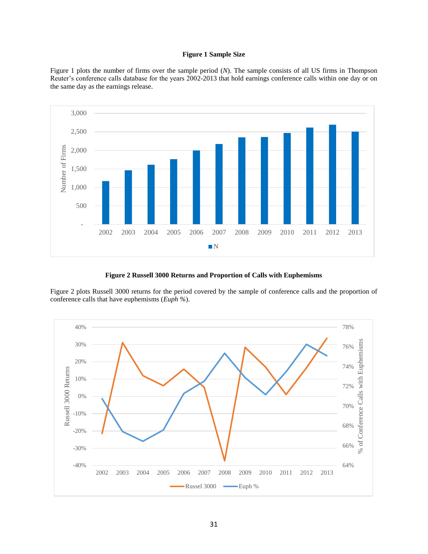## **Figure 1 Sample Size**

Figure 1 plots the number of firms over the sample period (*N*). The sample consists of all US firms in Thompson Reuter's conference calls database for the years 2002-2013 that hold earnings conference calls within one day or on the same day as the earnings release.



**Figure 2 Russell 3000 Returns and Proportion of Calls with Euphemisms**

Figure 2 plots Russell 3000 returns for the period covered by the sample of conference calls and the proportion of conference calls that have euphemisms (*Euph %*).

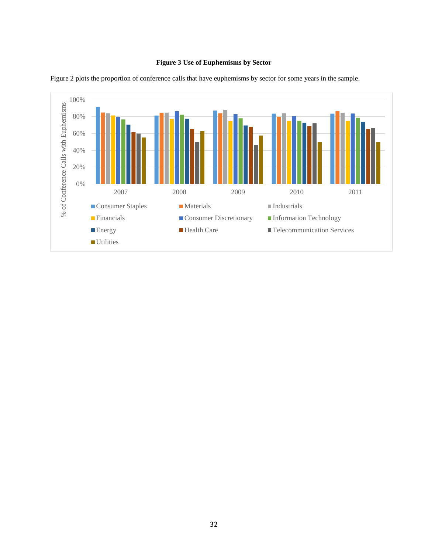# **Figure 3 Use of Euphemisms by Sector**



Figure 2 plots the proportion of conference calls that have euphemisms by sector for some years in the sample.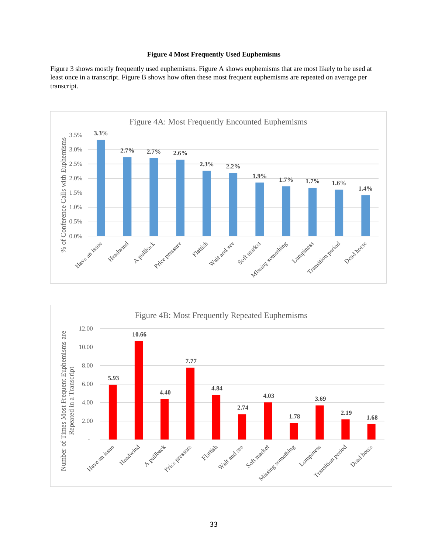# **Figure 4 Most Frequently Used Euphemisms**

Figure 3 shows mostly frequently used euphemisms. Figure A shows euphemisms that are most likely to be used at least once in a transcript. Figure B shows how often these most frequent euphemisms are repeated on average per transcript.



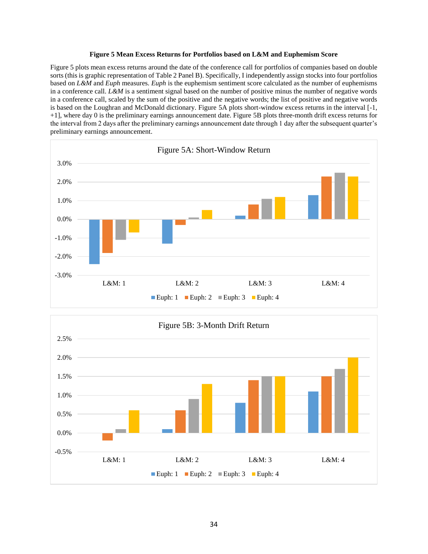## **Figure 5 Mean Excess Returns for Portfolios based on L&M and Euphemism Score**

Figure 5 plots mean excess returns around the date of the conference call for portfolios of companies based on double sorts (this is graphic representation of Table 2 Panel B). Specifically, I independently assign stocks into four portfolios based on *L&M* and *Euph* measures. *Euph* is the euphemism sentiment score calculated as the number of euphemisms in a conference call. *L&M* is a sentiment signal based on the number of positive minus the number of negative words in a conference call, scaled by the sum of the positive and the negative words; the list of positive and negative words is based on the Loughran and McDonald dictionary. Figure 5A plots short-window excess returns in the interval [-1, +1], where day 0 is the preliminary earnings announcement date. Figure 5B plots three-month drift excess returns for the interval from 2 days after the preliminary earnings announcement date through 1 day after the subsequent quarter's preliminary earnings announcement.



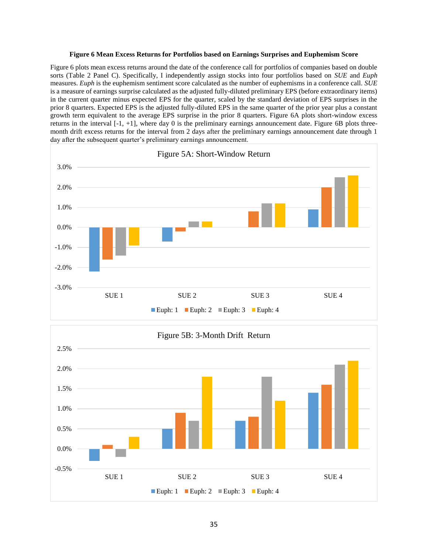## **Figure 6 Mean Excess Returns for Portfolios based on Earnings Surprises and Euphemism Score**

Figure 6 plots mean excess returns around the date of the conference call for portfolios of companies based on double sorts (Table 2 Panel C). Specifically, I independently assign stocks into four portfolios based on *SUE* and *Euph* measures. *Euph* is the euphemism sentiment score calculated as the number of euphemisms in a conference call. *SUE* is a measure of earnings surprise calculated as the adjusted fully-diluted preliminary EPS (before extraordinary items) in the current quarter minus expected EPS for the quarter, scaled by the standard deviation of EPS surprises in the prior 8 quarters. Expected EPS is the adjusted fully-diluted EPS in the same quarter of the prior year plus a constant growth term equivalent to the average EPS surprise in the prior 8 quarters. Figure 6A plots short-window excess returns in the interval [-1, +1], where day 0 is the preliminary earnings announcement date. Figure 6B plots threemonth drift excess returns for the interval from 2 days after the preliminary earnings announcement date through 1 day after the subsequent quarter's preliminary earnings announcement.

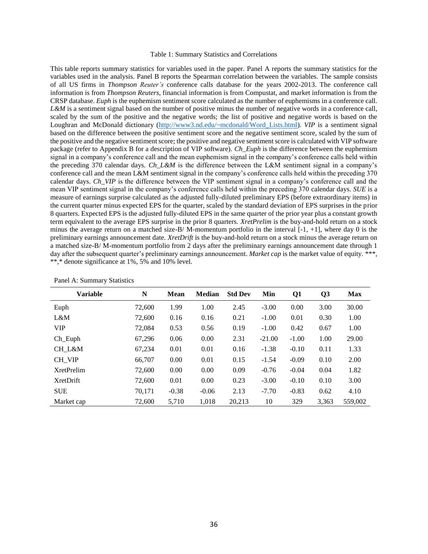#### Table 1: Summary Statistics and Correlations

This table reports summary statistics for variables used in the paper. Panel A reports the summary statistics for the variables used in the analysis. Panel B reports the Spearman correlation between the variables. The sample consists of all US firms in *Thompson Reuter's* conference calls database for the years 2002-2013. The conference call information is from *Thompson Reuters*, financial information is from Compustat, and market information is from the CRSP database. *Euph* is the euphemism sentiment score calculated as the number of euphemisms in a conference call. *L&M* is a sentiment signal based on the number of positive minus the number of negative words in a conference call, scaled by the sum of the positive and the negative words; the list of positive and negative words is based on the Loughran and McDonald dictionary [\(http://www3.nd.edu/~mcdonald/Word\\_Lists.html\)](http://www3.nd.edu/~mcdonald/Word_Lists.html). *VIP* is a sentiment signal based on the difference between the positive sentiment score and the negative sentiment score, scaled by the sum of the positive and the negative sentiment score; the positive and negative sentiment score is calculated with VIP software package (refer to Appendix B for a description of VIP software). *Ch\_Euph* is the difference between the euphemism signal in a company's conference call and the mean euphemism signal in the company's conference calls held within the preceding 370 calendar days. *Ch\_L&M* is the difference between the L&M sentiment signal in a company's conference call and the mean L&M sentiment signal in the company's conference calls held within the preceding 370 calendar days. *Ch\_VIP* is the difference between the VIP sentiment signal in a company's conference call and the mean VIP sentiment signal in the company's conference calls held within the preceding 370 calendar days. *SUE* is a measure of earnings surprise calculated as the adjusted fully-diluted preliminary EPS (before extraordinary items) in the current quarter minus expected EPS for the quarter, scaled by the standard deviation of EPS surprises in the prior 8 quarters. Expected EPS is the adjusted fully-diluted EPS in the same quarter of the prior year plus a constant growth term equivalent to the average EPS surprise in the prior 8 quarters. *XretPrelim* is the buy-and-hold return on a stock minus the average return on a matched size-B/ M-momentum portfolio in the interval [-1, +1], where day 0 is the preliminary earnings announcement date. *XretDrift* is the buy-and-hold return on a stock minus the average return on a matched size-B/ M-momentum portfolio from 2 days after the preliminary earnings announcement date through 1 day after the subsequent quarter's preliminary earnings announcement. *Market cap* is the market value of equity. \*\*\*, \*\*,\* denote significance at 1%, 5% and 10% level.

| <b>Variable</b>   | N      | Mean    | <b>Median</b> | <b>Std Dev</b> | Min      | Q1      | Q <sub>3</sub> | <b>Max</b> |
|-------------------|--------|---------|---------------|----------------|----------|---------|----------------|------------|
| Euph              | 72,600 | 1.99    | 1.00          | 2.45           | $-3.00$  | 0.00    | 3.00           | 30.00      |
| L&M               | 72,600 | 0.16    | 0.16          | 0.21           | $-1.00$  | 0.01    | 0.30           | 1.00       |
| <b>VIP</b>        | 72,084 | 0.53    | 0.56          | 0.19           | $-1.00$  | 0.42    | 0.67           | 1.00       |
| $Ch$ _Euph        | 67.296 | 0.06    | 0.00          | 2.31           | $-21.00$ | $-1.00$ | 1.00           | 29.00      |
| CH L&M            | 67.234 | 0.01    | 0.01          | 0.16           | $-1.38$  | $-0.10$ | 0.11           | 1.33       |
| CH VIP            | 66,707 | 0.00    | 0.01          | 0.15           | $-1.54$  | $-0.09$ | 0.10           | 2.00       |
| <b>XretPrelim</b> | 72,600 | 0.00    | 0.00          | 0.09           | $-0.76$  | $-0.04$ | 0.04           | 1.82       |
| <b>XretDrift</b>  | 72,600 | 0.01    | 0.00          | 0.23           | $-3.00$  | $-0.10$ | 0.10           | 3.00       |
| <b>SUE</b>        | 70.171 | $-0.38$ | $-0.06$       | 2.13           | $-7.70$  | $-0.83$ | 0.62           | 4.10       |
| Market cap        | 72,600 | 5,710   | 1,018         | 20,213         | 10       | 329     | 3,363          | 559,002    |

|  |  | Panel A: Summary Statistics |
|--|--|-----------------------------|
|--|--|-----------------------------|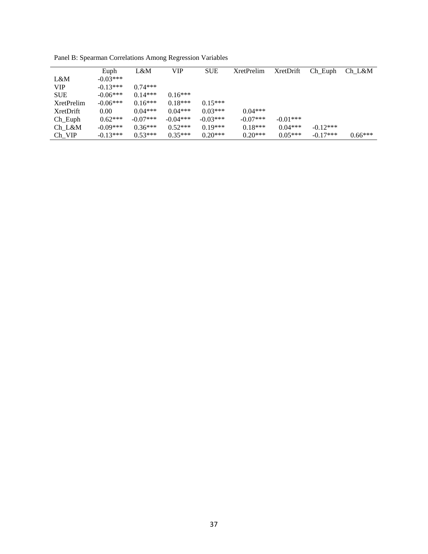|                   | Euph       | L&M        | VIP        | <b>SUE</b> | <b>XretPrelim</b> | <b>XretDrift</b> | Ch Euph    | Ch L&M    |
|-------------------|------------|------------|------------|------------|-------------------|------------------|------------|-----------|
|                   |            |            |            |            |                   |                  |            |           |
| L&M               | $-0.03***$ |            |            |            |                   |                  |            |           |
| <b>VIP</b>        | $-0.13***$ | $0.74***$  |            |            |                   |                  |            |           |
| <b>SUE</b>        | $-0.06***$ | $0.14***$  | $0.16***$  |            |                   |                  |            |           |
| <b>XretPrelim</b> | $-0.06***$ | $0.16***$  | $0.18***$  | $0.15***$  |                   |                  |            |           |
| XretDrift         | 0.00       | $0.04***$  | $0.04***$  | $0.03***$  | $0.04***$         |                  |            |           |
| $Ch$ _Euph        | $0.62***$  | $-0.07***$ | $-0.04***$ | $-0.03***$ | $-0.07***$        | $-0.01***$       |            |           |
| Ch L&M            | $-0.09***$ | $0.36***$  | $0.52***$  | $0.19***$  | $0.18***$         | $0.04***$        | $-0.12***$ |           |
| $Ch_VIP$          | $-0.13***$ | $0.53***$  | $0.35***$  | $0.20***$  | $0.20***$         | $0.05***$        | $-0.17***$ | $0.66***$ |

Panel B: Spearman Correlations Among Regression Variables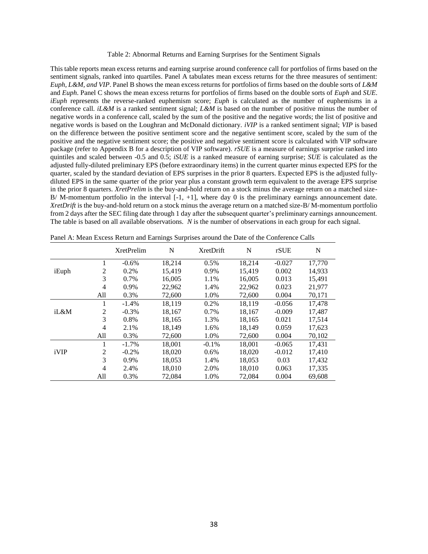#### Table 2: Abnormal Returns and Earning Surprises for the Sentiment Signals

This table reports mean excess returns and earning surprise around conference call for portfolios of firms based on the sentiment signals, ranked into quartiles. Panel A tabulates mean excess returns for the three measures of sentiment: *Euph, L&M, and VIP*. Panel B shows the mean excess returns for portfolios of firms based on the double sorts of *L&M* and *Euph*. Panel C shows the mean excess returns for portfolios of firms based on the double sorts of *Euph* and *SUE*. *iEuph* represents the reverse-ranked euphemism score; *Euph* is calculated as the number of euphemisms in a conference call. *iL&M* is a ranked sentiment signal; *L&M* is based on the number of positive minus the number of negative words in a conference call, scaled by the sum of the positive and the negative words; the list of positive and negative words is based on the Loughran and McDonald dictionary. *iVIP* is a ranked sentiment signal; *VIP* is based on the difference between the positive sentiment score and the negative sentiment score, scaled by the sum of the positive and the negative sentiment score; the positive and negative sentiment score is calculated with VIP software package (refer to Appendix B for a description of VIP software). *rSUE* is a measure of earnings surprise ranked into quintiles and scaled between -0.5 and 0.5; *iSUE* is a ranked measure of earning surprise; *SUE* is calculated as the adjusted fully-diluted preliminary EPS (before extraordinary items) in the current quarter minus expected EPS for the quarter, scaled by the standard deviation of EPS surprises in the prior 8 quarters. Expected EPS is the adjusted fullydiluted EPS in the same quarter of the prior year plus a constant growth term equivalent to the average EPS surprise in the prior 8 quarters. *XretPrelim* is the buy-and-hold return on a stock minus the average return on a matched size-B/ M-momentum portfolio in the interval  $[-1, +1]$ , where day 0 is the preliminary earnings announcement date. *XretDrift* is the buy-and-hold return on a stock minus the average return on a matched size-B/ M-momentum portfolio from 2 days after the SEC filing date through 1 day after the subsequent quarter's preliminary earnings announcement. The table is based on all available observations. *N* is the number of observations in each group for each signal.

|       |                | <b>XretPrelim</b> | N      | <b>XretDrift</b> | N      | rSUE     | N      |
|-------|----------------|-------------------|--------|------------------|--------|----------|--------|
|       | 1              | $-0.6%$           | 18,214 | 0.5%             | 18,214 | $-0.027$ | 17,770 |
| iEuph | $\overline{c}$ | 0.2%              | 15,419 | 0.9%             | 15,419 | 0.002    | 14,933 |
|       | 3              | 0.7%              | 16,005 | 1.1%             | 16,005 | 0.013    | 15,491 |
|       | $\overline{4}$ | 0.9%              | 22,962 | 1.4%             | 22,962 | 0.023    | 21,977 |
|       | All            | 0.3%              | 72,600 | 1.0%             | 72,600 | 0.004    | 70,171 |
|       | 1              | $-1.4%$           | 18,119 | 0.2%             | 18,119 | $-0.056$ | 17,478 |
| iL&M  | $\overline{c}$ | $-0.3%$           | 18,167 | 0.7%             | 18,167 | $-0.009$ | 17,487 |
|       | 3              | 0.8%              | 18,165 | 1.3%             | 18,165 | 0.021    | 17,514 |
|       | $\overline{4}$ | 2.1%              | 18,149 | 1.6%             | 18,149 | 0.059    | 17,623 |
|       | All            | 0.3%              | 72,600 | 1.0%             | 72,600 | 0.004    | 70,102 |
|       | 1              | $-1.7%$           | 18,001 | $-0.1\%$         | 18,001 | $-0.065$ | 17,431 |
| iVIP  | $\overline{c}$ | $-0.2%$           | 18,020 | 0.6%             | 18,020 | $-0.012$ | 17,410 |
|       | 3              | 0.9%              | 18,053 | 1.4%             | 18,053 | 0.03     | 17,432 |
|       | $\overline{4}$ | 2.4%              | 18,010 | 2.0%             | 18,010 | 0.063    | 17,335 |
|       | All            | 0.3%              | 72,084 | 1.0%             | 72,084 | 0.004    | 69,608 |

Panel A: Mean Excess Return and Earnings Surprises around the Date of the Conference Calls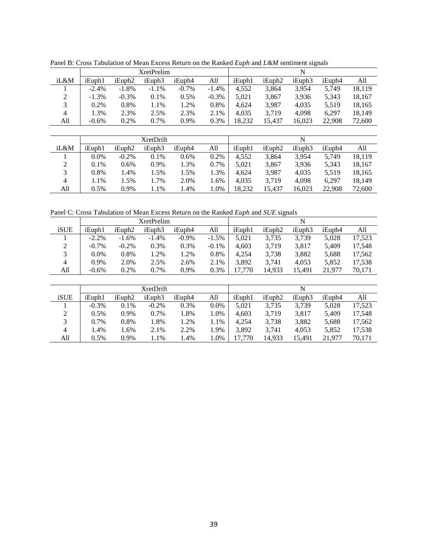|               |          |                    | <b>XretPrelim</b> |          |          | N      |                    |        |        |        |
|---------------|----------|--------------------|-------------------|----------|----------|--------|--------------------|--------|--------|--------|
| iL&M          | iEuph1   | iEuph <sub>2</sub> | iEuph3            | iEuph4   | All      | iEuph1 | iEuph <sub>2</sub> | iEuph3 | iEuph4 | All    |
|               | $-2.4\%$ | $-1.8\%$           | $-1.1\%$          | $-0.7\%$ | $-1.4\%$ | 4.552  | 3.864              | 3.954  | 5.749  | 18.119 |
| $\mathcal{D}$ | $-1.3\%$ | $-0.3%$            | $0.1\%$           | 0.5%     | $-0.3\%$ | 5,021  | 3,867              | 3,936  | 5,343  | 18,167 |
| 3             | 0.2%     | 0.8%               | 1.1%              | 1.2%     | 0.8%     | 4.624  | 3,987              | 4,035  | 5,519  | 18,165 |
| 4             | 1.3%     | 2.3%               | 2.5%              | 2.3%     | 2.1%     | 4.035  | 3,719              | 4,098  | 6.297  | 18,149 |
| All           | $-0.6\%$ | 0.2%               | 0.7%              | 0.9%     | 0.3%     | 18.232 | 15.437             | 16,023 | 22,908 | 72,600 |
|               |          |                    |                   |          |          |        |                    |        |        |        |

iL&M iEuph1 iEuph2 iEuph3 iEuph4 All iEuph1 iEuph2 iEuph3 iEuph4 All 0.0% -0.2% 0.1% 0.6% 0.2% 4,552 3,864 3,954 5,749 18,119 0.1% 0.6% 0.9% 1.3% 0.7% 5,021 3,867 3,936 5,343 18,167 0.8% 1.4% 1.5% 1.5% 1.3% 4,624 3,987 4,035 5,519 18,165 1.1% 1.5% 1.7% 2.0% 1.6% 4,035 3,719 4,098 6,297 18,149 All 0.5% 0.9% 1.1% 1.4% 1.0% 18,232 15,437 16,023 22,908 72,600

XretDrift N

Panel B: Cross Tabulation of Mean Excess Return on the Ranked *Euph* and *L&M* sentiment signals

Panel C: Cross Tabulation of Mean Excess Return on the Ranked *Euph* and *SUE* signals

|      |          |                    | XretPrelim |          |          |        |                    |        |        |        |
|------|----------|--------------------|------------|----------|----------|--------|--------------------|--------|--------|--------|
| iSUE | iEuph1   | iEuph <sub>2</sub> | iEuph3     | iEuph4   | All      | iEuph1 | iEuph <sub>2</sub> | iEuph3 | iEuph4 | All    |
|      | $-2.2\%$ | $-1.6%$            | $-1.4%$    | $-0.9\%$ | $-1.5%$  | 5.021  | 3,735              | 3.739  | 5.028  | 17,523 |
|      | $-0.7\%$ | $-0.2\%$           | 0.3%       | 0.3%     | $-0.1\%$ | 4.603  | 3.719              | 3.817  | 5.409  | 17.548 |
|      | $0.0\%$  | 0.8%               | 1.2%       | .2%      | 0.8%     | 4.254  | 3,738              | 3,882  | 5.688  | 17.562 |
| 4    | $0.9\%$  | 2.0%               | 2.5%       | 2.6%     | 2.1%     | 3.892  | 3.741              | 4.053  | 5.852  | 17,538 |
| All  | $-0.6%$  | 0.2%               | 0.7%       | 0.9%     | 0.3%     | 7.770  | 14,933             | 15.491 | 21.977 | 70,171 |

|      |          |                    | <b>XretDrift</b> |        |         |        |                    | N      |        |        |
|------|----------|--------------------|------------------|--------|---------|--------|--------------------|--------|--------|--------|
| iSUE | iEuph1   | iEuph <sub>2</sub> | iEuph3           | iEuph4 | All     | iEuph1 | iEuph <sub>2</sub> | iEuph3 | iEuph4 | All    |
|      | $-0.3\%$ | 0.1%               | $-0.2\%$         | 0.3%   | $0.0\%$ | 5.021  | 3,735              | 3,739  | 5.028  | 17.523 |
| C.   | $0.5\%$  | 0.9%               | 0.7%             | 1.8%   | 1.0%    | 4.603  | 3,719              | 3.817  | 5.409  | 17.548 |
| 3    | $0.7\%$  | 0.8%               | 1.8%             | 1.2%   | 1.1%    | 4.254  | 3,738              | 3.882  | 5.688  | 17.562 |
| 4    | 1.4%     | l.6%               | 2.1%             | 2.2%   | 1.9%    | 3.892  | 3.741              | 4.053  | 5.852  | 17.538 |
| All  | $0.5\%$  | 0.9%               | 1.1%             | l.4%   | 1.0%    | 17.770 | 14.933             | 15.491 | 21.977 | 70.171 |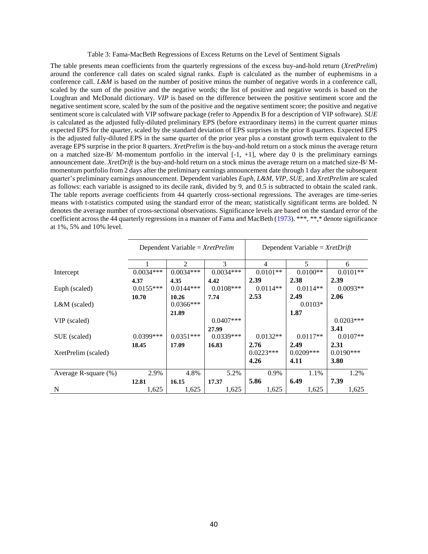#### Table 3: Fama-MacBeth Regressions of Excess Returns on the Level of Sentiment Signals

The table presents mean coefficients from the quarterly regressions of the excess buy-and-hold return (*XretPrelim*) around the conference call dates on scaled signal ranks. *Euph* is calculated as the number of euphemisms in a conference call. *L&M* is based on the number of positive minus the number of negative words in a conference call, scaled by the sum of the positive and the negative words; the list of positive and negative words is based on the Loughran and McDonald dictionary. *VIP* is based on the difference between the positive sentiment score and the negative sentiment score, scaled by the sum of the positive and the negative sentiment score; the positive and negative sentiment score is calculated with VIP software package (refer to Appendix B for a description of VIP software). *SUE* is calculated as the adjusted fully-diluted preliminary EPS (before extraordinary items) in the current quarter minus expected EPS for the quarter, scaled by the standard deviation of EPS surprises in the prior 8 quarters. Expected EPS is the adjusted fully-diluted EPS in the same quarter of the prior year plus a constant growth term equivalent to the average EPS surprise in the prior 8 quarters. *XretPrelim* is the buy-and-hold return on a stock minus the average return on a matched size-B/ M-momentum portfolio in the interval  $[-1, +1]$ , where day 0 is the preliminary earnings announcement date. *XretDrift* is the buy-and-hold return on a stock minus the average return on a matched size-B/ Mmomentum portfolio from 2 days after the preliminary earnings announcement date through 1 day after the subsequent quarter's preliminary earnings announcement. Dependent variables *Euph, L&M*, *VIP*, *SUE,* and *XretPrelim* are scaled as follows: each variable is assigned to its decile rank, divided by 9, and 0.5 is subtracted to obtain the scaled rank. The table reports average coefficients from 44 quarterly cross-sectional regressions. The averages are time-series means with t-statistics computed using the standard error of the mean; statistically significant terms are bolded. N denotes the average number of cross-sectional observations. Significance levels are based on the standard error of the coefficient across the 44 quarterly regressions in a manner of Fama and MacBeth (1973). \*\*\*, \*\*,\* denote significance at 1%, 5% and 10% level.

|                      | Dependent Variable = $XretPrelim$ |                |             | Dependent Variable = $XretDrift$ |             |             |  |
|----------------------|-----------------------------------|----------------|-------------|----------------------------------|-------------|-------------|--|
|                      |                                   | $\mathfrak{D}$ | 3           | 4                                | 5           | 6           |  |
| Intercept            | $0.0034***$                       | $0.0034***$    | $0.0034***$ | $0.0101**$                       | $0.0100**$  | $0.0101**$  |  |
|                      | 4.37                              | 4.35           | 4.42        | 2.39                             | 2.38        | 2.39        |  |
| Euph (scaled)        | $0.0155***$                       | $0.0144***$    | $0.0108***$ | $0.0114**$                       | $0.0114**$  | $0.0093**$  |  |
|                      | 10.70                             | 10.26          | 7.74        | 2.53                             | 2.49        | 2.06        |  |
| $L&M$ (scaled)       |                                   | $0.0366***$    |             |                                  | $0.0103*$   |             |  |
|                      |                                   | 21.89          |             |                                  | 1.87        |             |  |
| VIP (scaled)         |                                   |                | $0.0407***$ |                                  |             | $0.0203***$ |  |
|                      |                                   |                | 27.99       |                                  |             | 3.41        |  |
| SUE (scaled)         | $0.0399$ ***                      | $0.0351***$    | $0.0339***$ | $0.0132**$                       | $0.0117**$  | $0.0107**$  |  |
|                      | 18.45                             | 17.09          | 16.83       | 2.76                             | 2.49        | 2.31        |  |
| XretPrelim (scaled)  |                                   |                |             | $0.0223***$                      | $0.0209***$ | $0.0190***$ |  |
|                      |                                   |                |             | 4.26                             | 4.11        | 3.80        |  |
| Average R-square (%) | 2.9%                              | 4.8%           | 5.2%        | 0.9%                             | 1.1%        | 1.2%        |  |
|                      | 12.81                             | 16.15          | 17.37       | 5.86                             | 6.49        | 7.39        |  |
| N                    | 1,625                             | 1,625          | 1,625       | 1,625                            | 1,625       | 1,625       |  |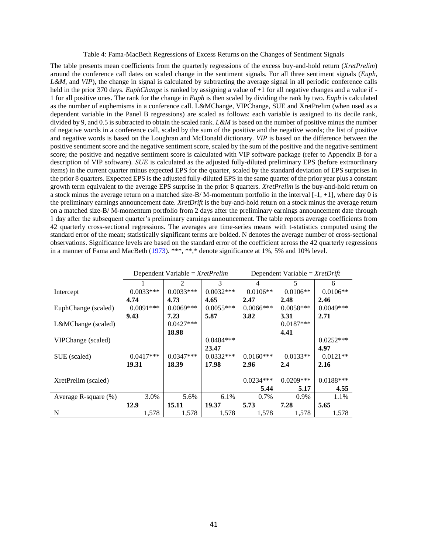#### Table 4: Fama-MacBeth Regressions of Excess Returns on the Changes of Sentiment Signals

The table presents mean coefficients from the quarterly regressions of the excess buy-and-hold return (*XretPrelim*) around the conference call dates on scaled change in the sentiment signals. For all three sentiment signals (*Euph*, *L&M*, and *VIP*), the change in signal is calculated by subtracting the average signal in all periodic conference calls held in the prior 370 days. *EuphChange* is ranked by assigning a value of +1 for all negative changes and a value if - 1 for all positive ones. The rank for the change in *Euph* is then scaled by dividing the rank by two. *Euph* is calculated as the number of euphemisms in a conference call. L&MChange, VIPChange, SUE and XretPrelim (when used as a dependent variable in the Panel B regressions) are scaled as follows: each variable is assigned to its decile rank, divided by 9, and 0.5 is subtracted to obtain the scaled rank. *L&M* is based on the number of positive minus the number of negative words in a conference call, scaled by the sum of the positive and the negative words; the list of positive and negative words is based on the Loughran and McDonald dictionary. *VIP* is based on the difference between the positive sentiment score and the negative sentiment score, scaled by the sum of the positive and the negative sentiment score; the positive and negative sentiment score is calculated with VIP software package (refer to Appendix B for a description of VIP software). *SUE* is calculated as the adjusted fully-diluted preliminary EPS (before extraordinary items) in the current quarter minus expected EPS for the quarter, scaled by the standard deviation of EPS surprises in the prior 8 quarters. Expected EPS is the adjusted fully-diluted EPS in the same quarter of the prior year plus a constant growth term equivalent to the average EPS surprise in the prior 8 quarters. *XretPrelim* is the buy-and-hold return on a stock minus the average return on a matched size-B/M-momentum portfolio in the interval  $[-1, +1]$ , where day 0 is the preliminary earnings announcement date. *XretDrift* is the buy-and-hold return on a stock minus the average return on a matched size-B/ M-momentum portfolio from 2 days after the preliminary earnings announcement date through 1 day after the subsequent quarter's preliminary earnings announcement. The table reports average coefficients from 42 quarterly cross-sectional regressions. The averages are time-series means with t-statistics computed using the standard error of the mean; statistically significant terms are bolded. N denotes the average number of cross-sectional observations. Significance levels are based on the standard error of the coefficient across the 42 quarterly regressions in a manner of Fama and MacBeth (1973). \*\*\*, \*\*, \* denote significance at 1%, 5% and 10% level.

|                         |             | Dependent Variable = $XretPrelim$ |             | Dependent Variable = $XretDrift$ |             |             |  |
|-------------------------|-------------|-----------------------------------|-------------|----------------------------------|-------------|-------------|--|
|                         |             | 2                                 | 3           | 4                                | 5           | 6           |  |
| Intercept               | $0.0033***$ | $0.0033***$                       | $0.0032***$ | $0.0106**$                       | $0.0106**$  | $0.0106**$  |  |
|                         | 4.74        | 4.73                              | 4.65        | 2.47                             | 2.48        | 2.46        |  |
| EuphChange (scaled)     | $0.0091***$ | $0.0069***$                       | $0.0055***$ | $0.0066***$                      | $0.0058***$ | $0.0049***$ |  |
|                         | 9.43        | 7.23                              | 5.87        | 3.82                             | 3.31        | 2.71        |  |
| L&MChange (scaled)      |             | $0.0427***$                       |             |                                  | $0.0187***$ |             |  |
|                         |             | 18.98                             |             |                                  | 4.41        |             |  |
| VIPChange (scaled)      |             |                                   | $0.0484***$ |                                  |             | $0.0252***$ |  |
|                         |             |                                   | 23.47       |                                  |             | 4.97        |  |
| SUE (scaled)            | $0.0417***$ | $0.0347***$                       | $0.0332***$ | $0.0160***$                      | $0.0133**$  | $0.0121**$  |  |
|                         | 19.31       | 18.39                             | 17.98       | 2.96                             | 2.4         | 2.16        |  |
|                         |             |                                   |             |                                  |             |             |  |
| XretPrelim (scaled)     |             |                                   |             | $0.0234***$                      | $0.0209***$ | $0.0188***$ |  |
|                         |             |                                   |             | 5.44                             | 5.17        | 4.55        |  |
| Average R-square $(\%)$ | 3.0%        | 5.6%                              | 6.1%        | 0.7%                             | 0.9%        | 1.1%        |  |
|                         | 12.9        | 15.11                             | 19.37       | 5.73                             | 7.28        | 5.65        |  |
| N                       | 1,578       | 1,578                             | 1,578       | 1,578                            | 1,578       | 1,578       |  |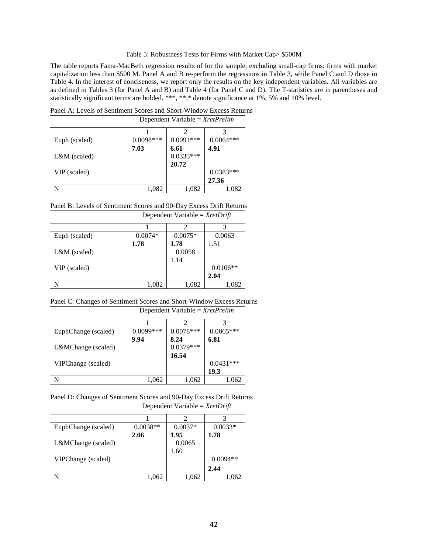#### Table 5: Robustness Tests for Firms with Market Cap> \$500M

The table reports Fama-MacBeth regression results of for the sample, excluding small-cap firms: firms with market capitalization less than \$500 M. Panel A and B re-perform the regressions in Table 3, while Panel C and D those in Table 4. In the interest of conciseness, we report only the results on the key independent variables. All variables are as defined in Tables 3 (for Panel A and B) and Table 4 (for Panel C and D). The T-statistics are in parentheses and statistically significant terms are bolded. \*\*\*, \*\*,\* denote significance at 1%, 5% and 10% level.

Panel A: Levels of Sentiment Scores and Short-Window Excess Returns

|                | Dependent Variable = $XretPrelim$ |             |             |
|----------------|-----------------------------------|-------------|-------------|
|                |                                   |             |             |
| Euph (scaled)  | $0.0098***$                       | $0.0091***$ | $0.0064***$ |
|                | 7.03                              | 6.61        | 4.91        |
| $L&M$ (scaled) |                                   | $0.0335***$ |             |
|                |                                   | 20.72       |             |
| VIP (scaled)   |                                   |             | $0.0383***$ |
|                |                                   |             | 27.36       |
|                | 1.082                             | 1,082       | 1,082       |

Panel B: Levels of Sentiment Scores and 90-Day Excess Drift Returns Dependent Variable = *XretDrift*

| $0.0074*$ | $0.0075*$ | 0.0063     |
|-----------|-----------|------------|
| 1.78      | 1.78      | 1.51       |
|           | 0.0058    |            |
|           | 1.14      |            |
|           |           | $0.0106**$ |
|           |           | 2.04       |
| 1,082     | 1,082     | 1,082      |
|           |           |            |

Panel C: Changes of Sentiment Scores and Short-Window Excess Returns Dependent Variable = *XretPrelim*

|                     | Dependent variable – $\Delta t \ell t \ell t \ell t m$ |             |             |
|---------------------|--------------------------------------------------------|-------------|-------------|
|                     |                                                        |             |             |
| EuphChange (scaled) | $0.0099***$                                            | $0.0078***$ | $0.0065***$ |
|                     | 9.94                                                   | 8.24        | 6.81        |
| L&MChange (scaled)  |                                                        | $0.0379***$ |             |
|                     |                                                        | 16.54       |             |
| VIPChange (scaled)  |                                                        |             | $0.0431***$ |
|                     |                                                        |             | 19.3        |
|                     | 1,062                                                  | 1,062       | 1,062       |

Panel D: Changes of Sentiment Scores and 90-Day Excess Drift Returns

|                     | Dependent Variable = $XretDrift$ |           |            |
|---------------------|----------------------------------|-----------|------------|
|                     |                                  | 2         | 3          |
| EuphChange (scaled) | $0.0038**$                       | $0.0037*$ | $0.0033*$  |
|                     | 2.06                             | 1.95      | 1.78       |
| L&MChange (scaled)  |                                  | 0.0065    |            |
|                     |                                  | 1.60      |            |
| VIPChange (scaled)  |                                  |           | $0.0094**$ |
|                     |                                  |           | 2.44       |
| N                   | .062                             | 1.062     | 1,062      |